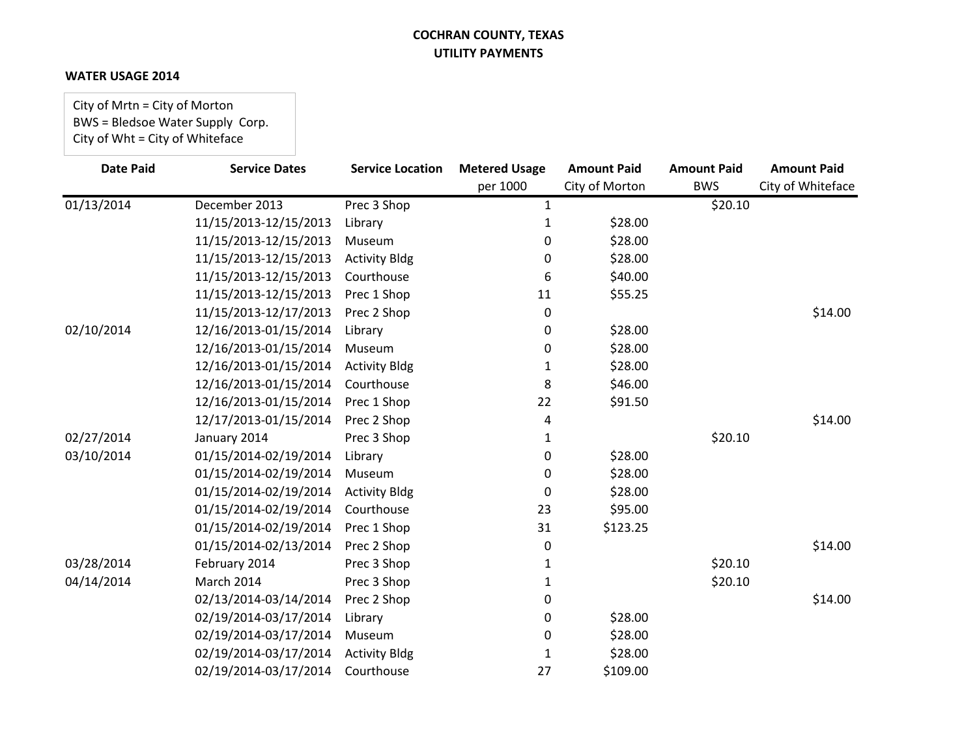#### **WATER USAGE 2014**

City of Mrtn = City of Morton BWS = Bledsoe Water Supply Corp. City of Wht = City of Whiteface

| <b>Date Paid</b> | <b>Service Dates</b>  | <b>Service Location</b> | <b>Metered Usage</b> | <b>Amount Paid</b> | <b>Amount Paid</b> | <b>Amount Paid</b> |
|------------------|-----------------------|-------------------------|----------------------|--------------------|--------------------|--------------------|
|                  |                       |                         | per 1000             | City of Morton     | <b>BWS</b>         | City of Whiteface  |
| 01/13/2014       | December 2013         | Prec 3 Shop             | 1                    |                    | \$20.10            |                    |
|                  | 11/15/2013-12/15/2013 | Library                 | 1                    | \$28.00            |                    |                    |
|                  | 11/15/2013-12/15/2013 | Museum                  | 0                    | \$28.00            |                    |                    |
|                  | 11/15/2013-12/15/2013 | <b>Activity Bldg</b>    | 0                    | \$28.00            |                    |                    |
|                  | 11/15/2013-12/15/2013 | Courthouse              | 6                    | \$40.00            |                    |                    |
|                  | 11/15/2013-12/15/2013 | Prec 1 Shop             | 11                   | \$55.25            |                    |                    |
|                  | 11/15/2013-12/17/2013 | Prec 2 Shop             | 0                    |                    |                    | \$14.00            |
| 02/10/2014       | 12/16/2013-01/15/2014 | Library                 | 0                    | \$28.00            |                    |                    |
|                  | 12/16/2013-01/15/2014 | Museum                  | 0                    | \$28.00            |                    |                    |
|                  | 12/16/2013-01/15/2014 | <b>Activity Bldg</b>    | 1                    | \$28.00            |                    |                    |
|                  | 12/16/2013-01/15/2014 | Courthouse              | 8                    | \$46.00            |                    |                    |
|                  | 12/16/2013-01/15/2014 | Prec 1 Shop             | 22                   | \$91.50            |                    |                    |
|                  | 12/17/2013-01/15/2014 | Prec 2 Shop             | 4                    |                    |                    | \$14.00            |
| 02/27/2014       | January 2014          | Prec 3 Shop             | 1                    |                    | \$20.10            |                    |
| 03/10/2014       | 01/15/2014-02/19/2014 | Library                 | 0                    | \$28.00            |                    |                    |
|                  | 01/15/2014-02/19/2014 | Museum                  | 0                    | \$28.00            |                    |                    |
|                  | 01/15/2014-02/19/2014 | <b>Activity Bldg</b>    | 0                    | \$28.00            |                    |                    |
|                  | 01/15/2014-02/19/2014 | Courthouse              | 23                   | \$95.00            |                    |                    |
|                  | 01/15/2014-02/19/2014 | Prec 1 Shop             | 31                   | \$123.25           |                    |                    |
|                  | 01/15/2014-02/13/2014 | Prec 2 Shop             | 0                    |                    |                    | \$14.00            |
| 03/28/2014       | February 2014         | Prec 3 Shop             | 1                    |                    | \$20.10            |                    |
| 04/14/2014       | March 2014            | Prec 3 Shop             | 1                    |                    | \$20.10            |                    |
|                  | 02/13/2014-03/14/2014 | Prec 2 Shop             | 0                    |                    |                    | \$14.00            |
|                  | 02/19/2014-03/17/2014 | Library                 | 0                    | \$28.00            |                    |                    |
|                  | 02/19/2014-03/17/2014 | Museum                  | 0                    | \$28.00            |                    |                    |
|                  | 02/19/2014-03/17/2014 | <b>Activity Bldg</b>    | 1                    | \$28.00            |                    |                    |
|                  | 02/19/2014-03/17/2014 | Courthouse              | 27                   | \$109.00           |                    |                    |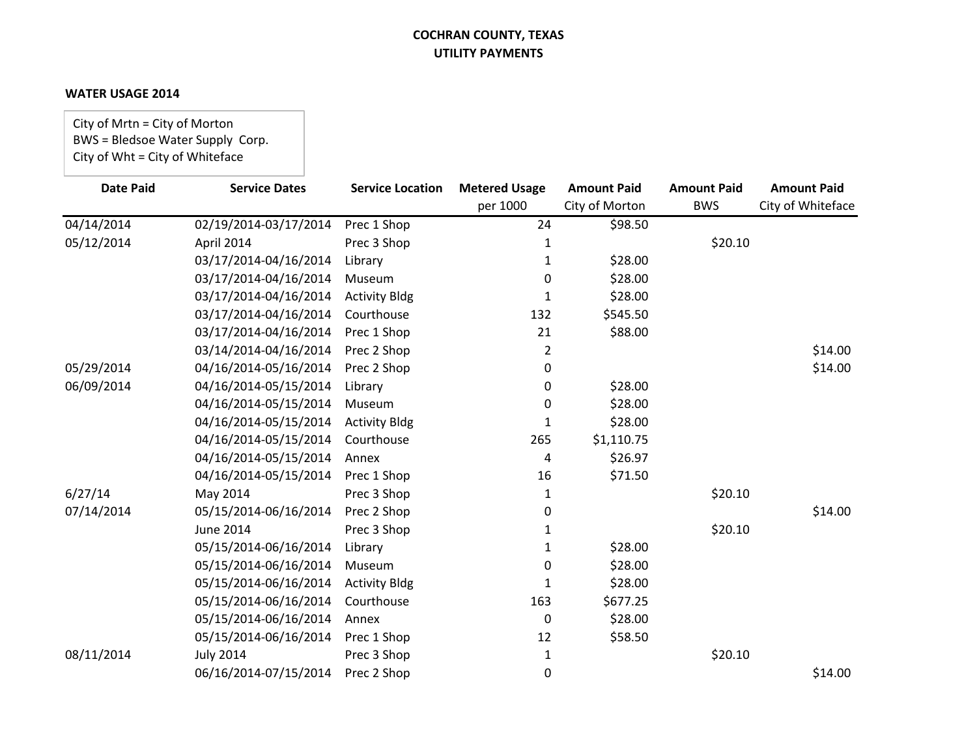#### **WATER USAGE 2014**

City of Mrtn = City of Morton BWS = Bledsoe Water Supply Corp. City of Wht = City of Whiteface

| <b>Date Paid</b> | <b>Service Dates</b>  | <b>Service Location</b> | <b>Metered Usage</b> | <b>Amount Paid</b> | <b>Amount Paid</b> | <b>Amount Paid</b> |
|------------------|-----------------------|-------------------------|----------------------|--------------------|--------------------|--------------------|
|                  |                       |                         | per 1000             | City of Morton     | <b>BWS</b>         | City of Whiteface  |
| 04/14/2014       | 02/19/2014-03/17/2014 | Prec 1 Shop             | 24                   | \$98.50            |                    |                    |
| 05/12/2014       | April 2014            | Prec 3 Shop             |                      |                    | \$20.10            |                    |
|                  | 03/17/2014-04/16/2014 | Library                 |                      | \$28.00            |                    |                    |
|                  | 03/17/2014-04/16/2014 | Museum                  | 0                    | \$28.00            |                    |                    |
|                  | 03/17/2014-04/16/2014 | <b>Activity Bldg</b>    | 1                    | \$28.00            |                    |                    |
|                  | 03/17/2014-04/16/2014 | Courthouse              | 132                  | \$545.50           |                    |                    |
|                  | 03/17/2014-04/16/2014 | Prec 1 Shop             | 21                   | \$88.00            |                    |                    |
|                  | 03/14/2014-04/16/2014 | Prec 2 Shop             | 2                    |                    |                    | \$14.00            |
| 05/29/2014       | 04/16/2014-05/16/2014 | Prec 2 Shop             | 0                    |                    |                    | \$14.00            |
| 06/09/2014       | 04/16/2014-05/15/2014 | Library                 | 0                    | \$28.00            |                    |                    |
|                  | 04/16/2014-05/15/2014 | Museum                  | 0                    | \$28.00            |                    |                    |
|                  | 04/16/2014-05/15/2014 | <b>Activity Bldg</b>    | 1                    | \$28.00            |                    |                    |
|                  | 04/16/2014-05/15/2014 | Courthouse              | 265                  | \$1,110.75         |                    |                    |
|                  | 04/16/2014-05/15/2014 | Annex                   | 4                    | \$26.97            |                    |                    |
|                  | 04/16/2014-05/15/2014 | Prec 1 Shop             | 16                   | \$71.50            |                    |                    |
| 6/27/14          | May 2014              | Prec 3 Shop             | 1                    |                    | \$20.10            |                    |
| 07/14/2014       | 05/15/2014-06/16/2014 | Prec 2 Shop             | 0                    |                    |                    | \$14.00            |
|                  | <b>June 2014</b>      | Prec 3 Shop             | 1                    |                    | \$20.10            |                    |
|                  | 05/15/2014-06/16/2014 | Library                 | 1                    | \$28.00            |                    |                    |
|                  | 05/15/2014-06/16/2014 | Museum                  | 0                    | \$28.00            |                    |                    |
|                  | 05/15/2014-06/16/2014 | <b>Activity Bldg</b>    | 1                    | \$28.00            |                    |                    |
|                  | 05/15/2014-06/16/2014 | Courthouse              | 163                  | \$677.25           |                    |                    |
|                  | 05/15/2014-06/16/2014 | Annex                   | 0                    | \$28.00            |                    |                    |
|                  | 05/15/2014-06/16/2014 | Prec 1 Shop             | 12                   | \$58.50            |                    |                    |
| 08/11/2014       | <b>July 2014</b>      | Prec 3 Shop             | 1                    |                    | \$20.10            |                    |
|                  | 06/16/2014-07/15/2014 | Prec 2 Shop             | 0                    |                    |                    | \$14.00            |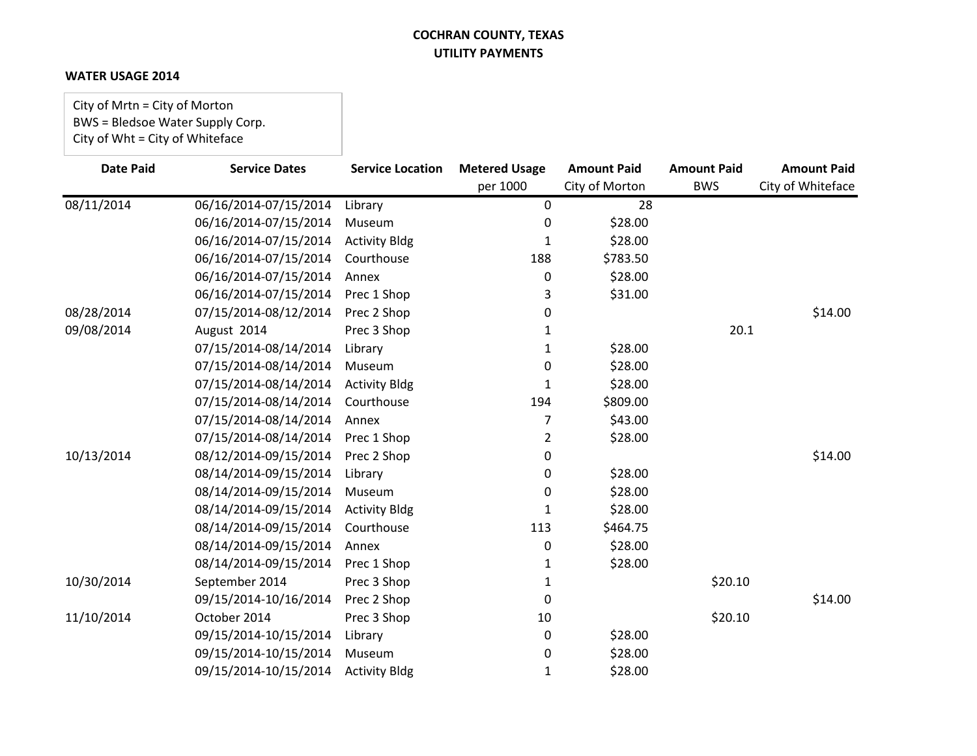#### **WATER USAGE 2014**

City of Mrtn = City of Morton BWS = Bledsoe Water Supply Corp. City of Wht = City of Whiteface

| <b>Date Paid</b> | <b>Service Dates</b>  | <b>Service Location</b> | <b>Metered Usage</b> | <b>Amount Paid</b> | <b>Amount Paid</b> | <b>Amount Paid</b> |
|------------------|-----------------------|-------------------------|----------------------|--------------------|--------------------|--------------------|
|                  |                       |                         | per 1000             | City of Morton     | <b>BWS</b>         | City of Whiteface  |
| 08/11/2014       | 06/16/2014-07/15/2014 | Library                 | 0                    | 28                 |                    |                    |
|                  | 06/16/2014-07/15/2014 | Museum                  | 0                    | \$28.00            |                    |                    |
|                  | 06/16/2014-07/15/2014 | <b>Activity Bldg</b>    | 1                    | \$28.00            |                    |                    |
|                  | 06/16/2014-07/15/2014 | Courthouse              | 188                  | \$783.50           |                    |                    |
|                  | 06/16/2014-07/15/2014 | Annex                   | 0                    | \$28.00            |                    |                    |
|                  | 06/16/2014-07/15/2014 | Prec 1 Shop             | 3                    | \$31.00            |                    |                    |
| 08/28/2014       | 07/15/2014-08/12/2014 | Prec 2 Shop             | 0                    |                    |                    | \$14.00            |
| 09/08/2014       | August 2014           | Prec 3 Shop             | 1                    |                    | 20.1               |                    |
|                  | 07/15/2014-08/14/2014 | Library                 | 1                    | \$28.00            |                    |                    |
|                  | 07/15/2014-08/14/2014 | Museum                  | 0                    | \$28.00            |                    |                    |
|                  | 07/15/2014-08/14/2014 | <b>Activity Bldg</b>    | 1                    | \$28.00            |                    |                    |
|                  | 07/15/2014-08/14/2014 | Courthouse              | 194                  | \$809.00           |                    |                    |
|                  | 07/15/2014-08/14/2014 | Annex                   | 7                    | \$43.00            |                    |                    |
|                  | 07/15/2014-08/14/2014 | Prec 1 Shop             | 2                    | \$28.00            |                    |                    |
| 10/13/2014       | 08/12/2014-09/15/2014 | Prec 2 Shop             | 0                    |                    |                    | \$14.00            |
|                  | 08/14/2014-09/15/2014 | Library                 | 0                    | \$28.00            |                    |                    |
|                  | 08/14/2014-09/15/2014 | Museum                  | 0                    | \$28.00            |                    |                    |
|                  | 08/14/2014-09/15/2014 | <b>Activity Bldg</b>    | 1                    | \$28.00            |                    |                    |
|                  | 08/14/2014-09/15/2014 | Courthouse              | 113                  | \$464.75           |                    |                    |
|                  | 08/14/2014-09/15/2014 | Annex                   | 0                    | \$28.00            |                    |                    |
|                  | 08/14/2014-09/15/2014 | Prec 1 Shop             | 1                    | \$28.00            |                    |                    |
| 10/30/2014       | September 2014        | Prec 3 Shop             | 1                    |                    | \$20.10            |                    |
|                  | 09/15/2014-10/16/2014 | Prec 2 Shop             | 0                    |                    |                    | \$14.00            |
| 11/10/2014       | October 2014          | Prec 3 Shop             | 10                   |                    | \$20.10            |                    |
|                  | 09/15/2014-10/15/2014 | Library                 | 0                    | \$28.00            |                    |                    |
|                  | 09/15/2014-10/15/2014 | Museum                  | 0                    | \$28.00            |                    |                    |
|                  | 09/15/2014-10/15/2014 | <b>Activity Bldg</b>    | 1                    | \$28.00            |                    |                    |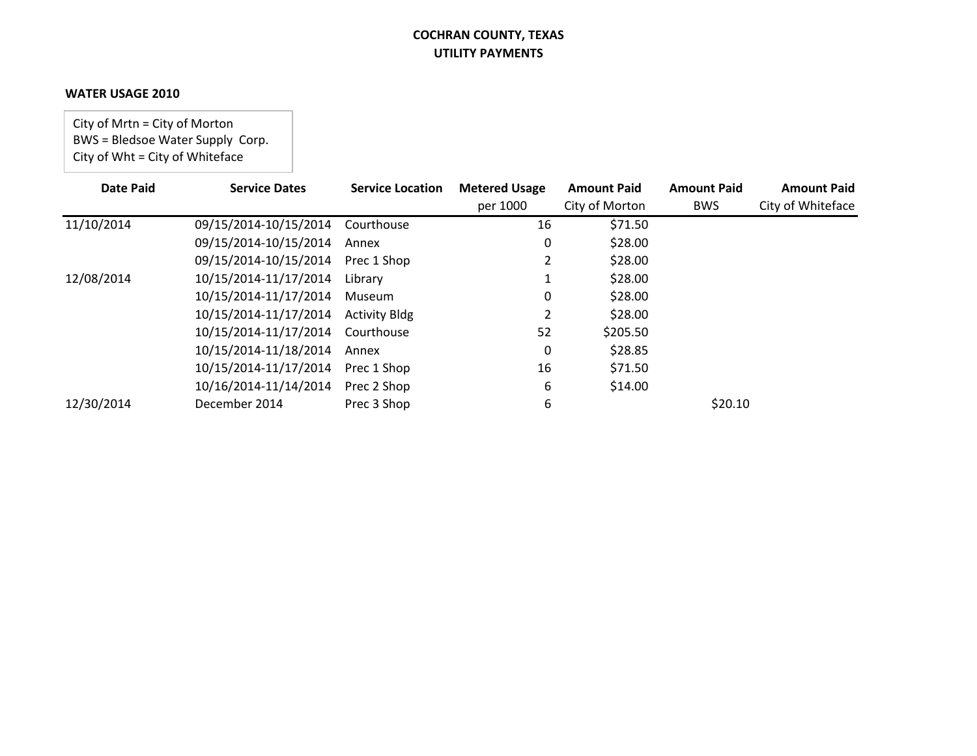#### **WATER USAGE 2010**

City of Mrtn = City of Morton BWS = Bledsoe Water Supply Corp. City of Wht = City of Whiteface

| <b>Date Paid</b> | <b>Service Dates</b>  | <b>Service Location</b> | <b>Metered Usage</b> | <b>Amount Paid</b> | <b>Amount Paid</b> | <b>Amount Paid</b> |
|------------------|-----------------------|-------------------------|----------------------|--------------------|--------------------|--------------------|
|                  |                       |                         | per 1000             | City of Morton     | <b>BWS</b>         | City of Whiteface  |
| 11/10/2014       | 09/15/2014-10/15/2014 | Courthouse              | 16                   | \$71.50            |                    |                    |
|                  | 09/15/2014-10/15/2014 | Annex                   | 0                    | \$28.00            |                    |                    |
|                  | 09/15/2014-10/15/2014 | Prec 1 Shop             |                      | \$28.00            |                    |                    |
| 12/08/2014       | 10/15/2014-11/17/2014 | Library                 |                      | \$28.00            |                    |                    |
|                  | 10/15/2014-11/17/2014 | Museum                  | 0                    | \$28.00            |                    |                    |
|                  | 10/15/2014-11/17/2014 | <b>Activity Bldg</b>    |                      | \$28.00            |                    |                    |
|                  | 10/15/2014-11/17/2014 | Courthouse              | 52                   | \$205.50           |                    |                    |
|                  | 10/15/2014-11/18/2014 | Annex                   | 0                    | \$28.85            |                    |                    |
|                  | 10/15/2014-11/17/2014 | Prec 1 Shop             | 16                   | \$71.50            |                    |                    |
|                  | 10/16/2014-11/14/2014 | Prec 2 Shop             | 6                    | \$14.00            |                    |                    |
| 12/30/2014       | December 2014         | Prec 3 Shop             | 6                    |                    | \$20.10            |                    |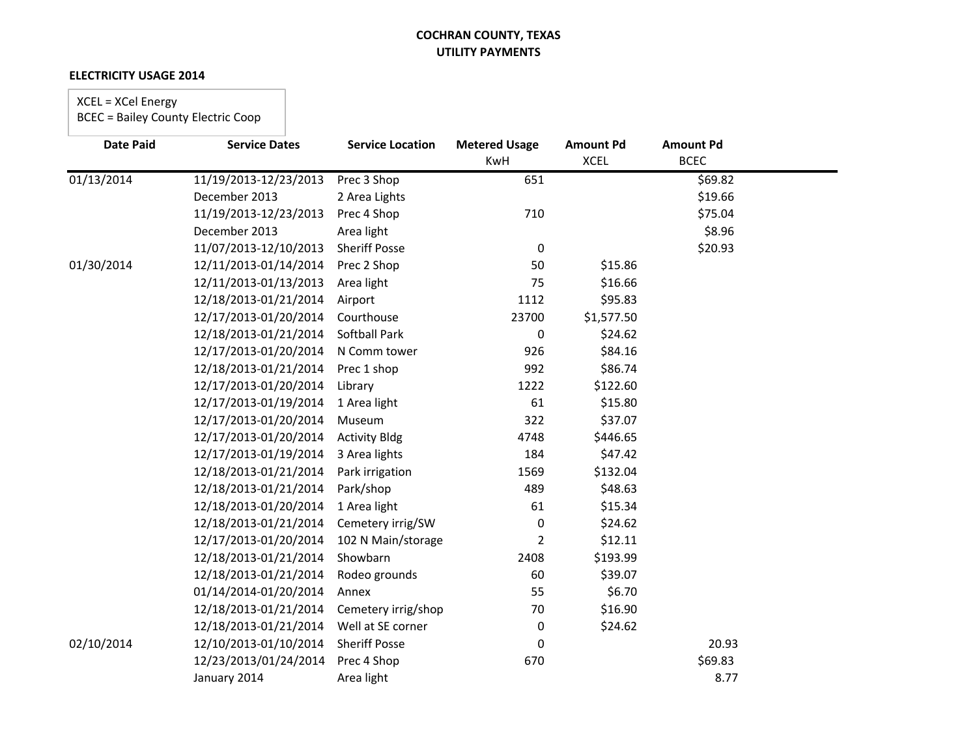#### **ELECTRICITY USAGE 2014**

# XCEL = XCel Energy

| <b>Date Paid</b> | <b>Service Dates</b>  | <b>Service Location</b> | <b>Metered Usage</b> | <b>Amount Pd</b> | <b>Amount Pd</b> |  |
|------------------|-----------------------|-------------------------|----------------------|------------------|------------------|--|
|                  |                       |                         | KwH                  | <b>XCEL</b>      | <b>BCEC</b>      |  |
| 01/13/2014       | 11/19/2013-12/23/2013 | Prec 3 Shop             | 651                  |                  | \$69.82          |  |
|                  | December 2013         | 2 Area Lights           |                      |                  | \$19.66          |  |
|                  | 11/19/2013-12/23/2013 | Prec 4 Shop             | 710                  |                  | \$75.04          |  |
|                  | December 2013         | Area light              |                      |                  | \$8.96           |  |
|                  | 11/07/2013-12/10/2013 | <b>Sheriff Posse</b>    | $\mathbf 0$          |                  | \$20.93          |  |
| 01/30/2014       | 12/11/2013-01/14/2014 | Prec 2 Shop             | 50                   | \$15.86          |                  |  |
|                  | 12/11/2013-01/13/2013 | Area light              | 75                   | \$16.66          |                  |  |
|                  | 12/18/2013-01/21/2014 | Airport                 | 1112                 | \$95.83          |                  |  |
|                  | 12/17/2013-01/20/2014 | Courthouse              | 23700                | \$1,577.50       |                  |  |
|                  | 12/18/2013-01/21/2014 | <b>Softball Park</b>    | 0                    | \$24.62          |                  |  |
|                  | 12/17/2013-01/20/2014 | N Comm tower            | 926                  | \$84.16          |                  |  |
|                  | 12/18/2013-01/21/2014 | Prec 1 shop             | 992                  | \$86.74          |                  |  |
|                  | 12/17/2013-01/20/2014 | Library                 | 1222                 | \$122.60         |                  |  |
|                  | 12/17/2013-01/19/2014 | 1 Area light            | 61                   | \$15.80          |                  |  |
|                  | 12/17/2013-01/20/2014 | Museum                  | 322                  | \$37.07          |                  |  |
|                  | 12/17/2013-01/20/2014 | <b>Activity Bldg</b>    | 4748                 | \$446.65         |                  |  |
|                  | 12/17/2013-01/19/2014 | 3 Area lights           | 184                  | \$47.42          |                  |  |
|                  | 12/18/2013-01/21/2014 | Park irrigation         | 1569                 | \$132.04         |                  |  |
|                  | 12/18/2013-01/21/2014 | Park/shop               | 489                  | \$48.63          |                  |  |
|                  | 12/18/2013-01/20/2014 | 1 Area light            | 61                   | \$15.34          |                  |  |
|                  | 12/18/2013-01/21/2014 | Cemetery irrig/SW       | 0                    | \$24.62          |                  |  |
|                  | 12/17/2013-01/20/2014 | 102 N Main/storage      | $\overline{2}$       | \$12.11          |                  |  |
|                  | 12/18/2013-01/21/2014 | Showbarn                | 2408                 | \$193.99         |                  |  |
|                  | 12/18/2013-01/21/2014 | Rodeo grounds           | 60                   | \$39.07          |                  |  |
|                  | 01/14/2014-01/20/2014 | Annex                   | 55                   | \$6.70           |                  |  |
|                  | 12/18/2013-01/21/2014 | Cemetery irrig/shop     | 70                   | \$16.90          |                  |  |
|                  | 12/18/2013-01/21/2014 | Well at SE corner       | $\mathbf 0$          | \$24.62          |                  |  |
| 02/10/2014       | 12/10/2013-01/10/2014 | <b>Sheriff Posse</b>    | 0                    |                  | 20.93            |  |
|                  | 12/23/2013/01/24/2014 | Prec 4 Shop             | 670                  |                  | \$69.83          |  |
|                  | January 2014          | Area light              |                      |                  | 8.77             |  |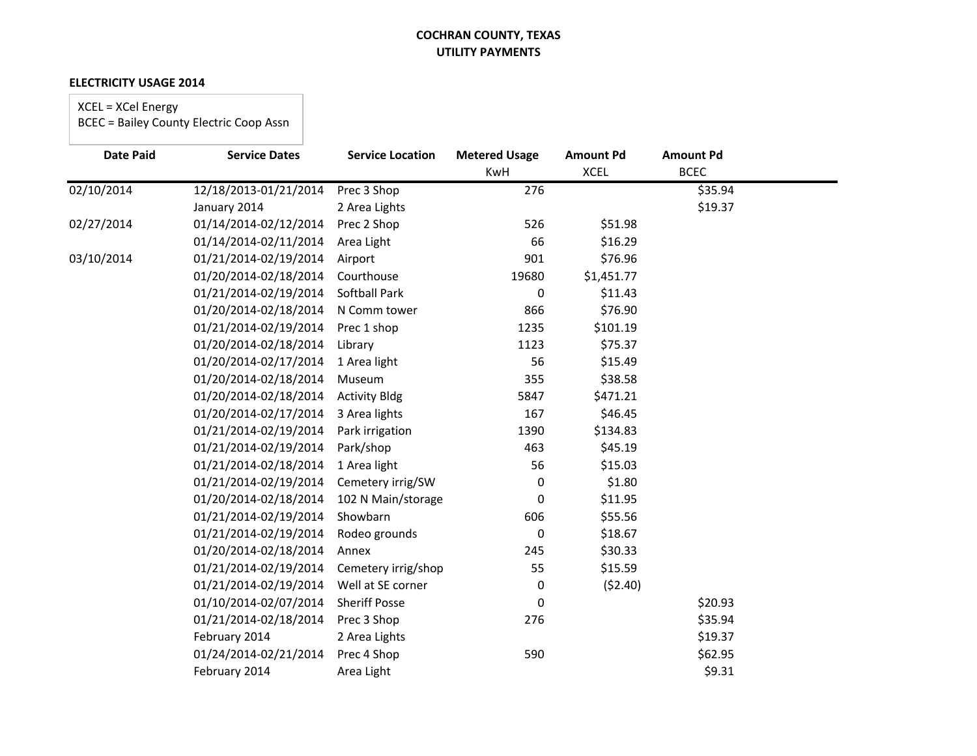#### **ELECTRICITY USAGE 2014**

# XCEL = XCel Energy

| <b>Date Paid</b> | <b>Service Dates</b>  | <b>Service Location</b> | <b>Metered Usage</b><br><b>KwH</b> | <b>Amount Pd</b><br><b>XCEL</b> | <b>Amount Pd</b><br><b>BCEC</b> |  |
|------------------|-----------------------|-------------------------|------------------------------------|---------------------------------|---------------------------------|--|
| 02/10/2014       | 12/18/2013-01/21/2014 | Prec 3 Shop             | 276                                |                                 | \$35.94                         |  |
|                  |                       |                         |                                    |                                 |                                 |  |
|                  | January 2014          | 2 Area Lights           |                                    |                                 | \$19.37                         |  |
| 02/27/2014       | 01/14/2014-02/12/2014 | Prec 2 Shop             | 526                                | \$51.98                         |                                 |  |
|                  | 01/14/2014-02/11/2014 | Area Light              | 66                                 | \$16.29                         |                                 |  |
| 03/10/2014       | 01/21/2014-02/19/2014 | Airport                 | 901                                | \$76.96                         |                                 |  |
|                  | 01/20/2014-02/18/2014 | Courthouse              | 19680                              | \$1,451.77                      |                                 |  |
|                  | 01/21/2014-02/19/2014 | Softball Park           | 0                                  | \$11.43                         |                                 |  |
|                  | 01/20/2014-02/18/2014 | N Comm tower            | 866                                | \$76.90                         |                                 |  |
|                  | 01/21/2014-02/19/2014 | Prec 1 shop             | 1235                               | \$101.19                        |                                 |  |
|                  | 01/20/2014-02/18/2014 | Library                 | 1123                               | \$75.37                         |                                 |  |
|                  | 01/20/2014-02/17/2014 | 1 Area light            | 56                                 | \$15.49                         |                                 |  |
|                  | 01/20/2014-02/18/2014 | Museum                  | 355                                | \$38.58                         |                                 |  |
|                  | 01/20/2014-02/18/2014 | <b>Activity Bldg</b>    | 5847                               | \$471.21                        |                                 |  |
|                  | 01/20/2014-02/17/2014 | 3 Area lights           | 167                                | \$46.45                         |                                 |  |
|                  | 01/21/2014-02/19/2014 | Park irrigation         | 1390                               | \$134.83                        |                                 |  |
|                  | 01/21/2014-02/19/2014 | Park/shop               | 463                                | \$45.19                         |                                 |  |
|                  | 01/21/2014-02/18/2014 | 1 Area light            | 56                                 | \$15.03                         |                                 |  |
|                  | 01/21/2014-02/19/2014 | Cemetery irrig/SW       | 0                                  | \$1.80                          |                                 |  |
|                  | 01/20/2014-02/18/2014 | 102 N Main/storage      | 0                                  | \$11.95                         |                                 |  |
|                  | 01/21/2014-02/19/2014 | Showbarn                | 606                                | \$55.56                         |                                 |  |
|                  | 01/21/2014-02/19/2014 | Rodeo grounds           | 0                                  | \$18.67                         |                                 |  |
|                  | 01/20/2014-02/18/2014 | Annex                   | 245                                | \$30.33                         |                                 |  |
|                  | 01/21/2014-02/19/2014 | Cemetery irrig/shop     | 55                                 | \$15.59                         |                                 |  |
|                  | 01/21/2014-02/19/2014 | Well at SE corner       | 0                                  | (52.40)                         |                                 |  |
|                  | 01/10/2014-02/07/2014 | <b>Sheriff Posse</b>    | 0                                  |                                 | \$20.93                         |  |
|                  | 01/21/2014-02/18/2014 | Prec 3 Shop             | 276                                |                                 | \$35.94                         |  |
|                  | February 2014         | 2 Area Lights           |                                    |                                 | \$19.37                         |  |
|                  | 01/24/2014-02/21/2014 | Prec 4 Shop             | 590                                |                                 | \$62.95                         |  |
|                  | February 2014         | Area Light              |                                    |                                 | \$9.31                          |  |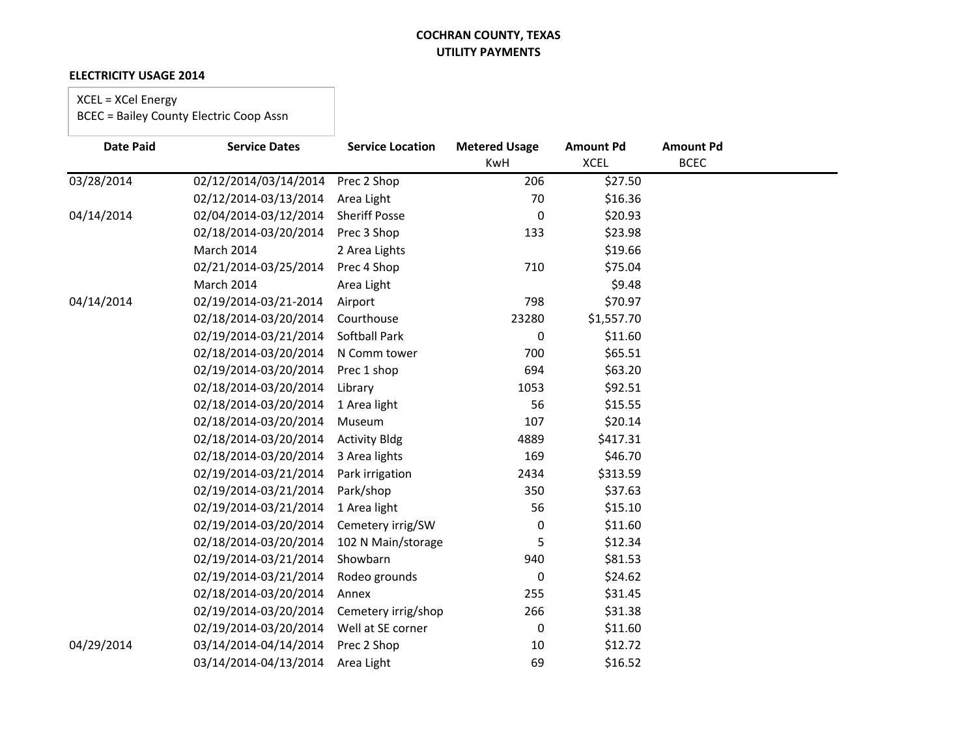#### **ELECTRICITY USAGE 2014**

# XCEL = XCel Energy

| <b>Date Paid</b> | <b>Service Dates</b>  | <b>Service Location</b> | <b>Metered Usage</b> | <b>Amount Pd</b> | <b>Amount Pd</b> |
|------------------|-----------------------|-------------------------|----------------------|------------------|------------------|
|                  |                       |                         | <b>KwH</b>           | <b>XCEL</b>      | <b>BCEC</b>      |
| 03/28/2014       | 02/12/2014/03/14/2014 | Prec 2 Shop             | 206                  | \$27.50          |                  |
|                  | 02/12/2014-03/13/2014 | Area Light              | 70                   | \$16.36          |                  |
| 04/14/2014       | 02/04/2014-03/12/2014 | <b>Sheriff Posse</b>    | 0                    | \$20.93          |                  |
|                  | 02/18/2014-03/20/2014 | Prec 3 Shop             | 133                  | \$23.98          |                  |
|                  | March 2014            | 2 Area Lights           |                      | \$19.66          |                  |
|                  | 02/21/2014-03/25/2014 | Prec 4 Shop             | 710                  | \$75.04          |                  |
|                  | March 2014            | Area Light              |                      | \$9.48           |                  |
| 04/14/2014       | 02/19/2014-03/21-2014 | Airport                 | 798                  | \$70.97          |                  |
|                  | 02/18/2014-03/20/2014 | Courthouse              | 23280                | \$1,557.70       |                  |
|                  | 02/19/2014-03/21/2014 | <b>Softball Park</b>    | 0                    | \$11.60          |                  |
|                  | 02/18/2014-03/20/2014 | N Comm tower            | 700                  | \$65.51          |                  |
|                  | 02/19/2014-03/20/2014 | Prec 1 shop             | 694                  | \$63.20          |                  |
|                  | 02/18/2014-03/20/2014 | Library                 | 1053                 | \$92.51          |                  |
|                  | 02/18/2014-03/20/2014 | 1 Area light            | 56                   | \$15.55          |                  |
|                  | 02/18/2014-03/20/2014 | Museum                  | 107                  | \$20.14          |                  |
|                  | 02/18/2014-03/20/2014 | <b>Activity Bldg</b>    | 4889                 | \$417.31         |                  |
|                  | 02/18/2014-03/20/2014 | 3 Area lights           | 169                  | \$46.70          |                  |
|                  | 02/19/2014-03/21/2014 | Park irrigation         | 2434                 | \$313.59         |                  |
|                  | 02/19/2014-03/21/2014 | Park/shop               | 350                  | \$37.63          |                  |
|                  | 02/19/2014-03/21/2014 | 1 Area light            | 56                   | \$15.10          |                  |
|                  | 02/19/2014-03/20/2014 | Cemetery irrig/SW       | 0                    | \$11.60          |                  |
|                  | 02/18/2014-03/20/2014 | 102 N Main/storage      | 5                    | \$12.34          |                  |
|                  | 02/19/2014-03/21/2014 | Showbarn                | 940                  | \$81.53          |                  |
|                  | 02/19/2014-03/21/2014 | Rodeo grounds           | 0                    | \$24.62          |                  |
|                  | 02/18/2014-03/20/2014 | Annex                   | 255                  | \$31.45          |                  |
|                  | 02/19/2014-03/20/2014 | Cemetery irrig/shop     | 266                  | \$31.38          |                  |
|                  | 02/19/2014-03/20/2014 | Well at SE corner       | 0                    | \$11.60          |                  |
| 04/29/2014       | 03/14/2014-04/14/2014 | Prec 2 Shop             | 10                   | \$12.72          |                  |
|                  | 03/14/2014-04/13/2014 | Area Light              | 69                   | \$16.52          |                  |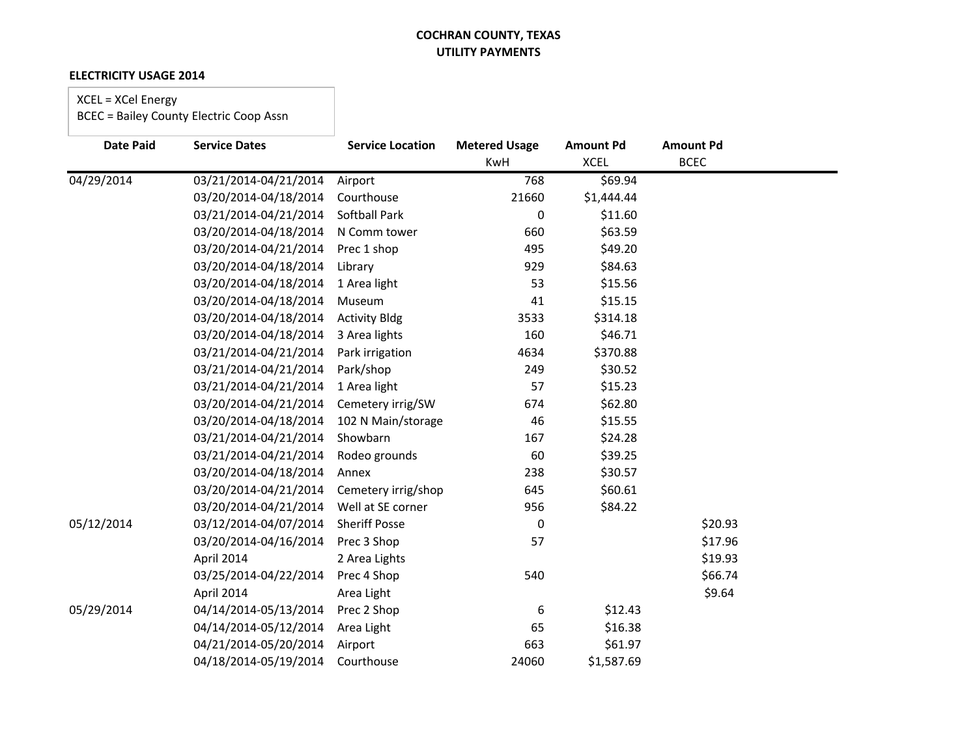#### **ELECTRICITY USAGE 2014**

# XCEL = XCel Energy

| <b>Date Paid</b> | <b>Service Dates</b>  | <b>Service Location</b> | <b>Metered Usage</b><br><b>KwH</b> | <b>Amount Pd</b><br><b>XCEL</b> | <b>Amount Pd</b><br><b>BCEC</b> |
|------------------|-----------------------|-------------------------|------------------------------------|---------------------------------|---------------------------------|
| 04/29/2014       | 03/21/2014-04/21/2014 | Airport                 | 768                                | \$69.94                         |                                 |
|                  | 03/20/2014-04/18/2014 | Courthouse              | 21660                              | \$1,444.44                      |                                 |
|                  | 03/21/2014-04/21/2014 | <b>Softball Park</b>    | 0                                  | \$11.60                         |                                 |
|                  | 03/20/2014-04/18/2014 | N Comm tower            | 660                                | \$63.59                         |                                 |
|                  | 03/20/2014-04/21/2014 | Prec 1 shop             | 495                                | \$49.20                         |                                 |
|                  | 03/20/2014-04/18/2014 | Library                 | 929                                | \$84.63                         |                                 |
|                  | 03/20/2014-04/18/2014 | 1 Area light            | 53                                 | \$15.56                         |                                 |
|                  | 03/20/2014-04/18/2014 | Museum                  | 41                                 | \$15.15                         |                                 |
|                  | 03/20/2014-04/18/2014 | <b>Activity Bldg</b>    | 3533                               | \$314.18                        |                                 |
|                  | 03/20/2014-04/18/2014 | 3 Area lights           | 160                                | \$46.71                         |                                 |
|                  | 03/21/2014-04/21/2014 | Park irrigation         | 4634                               | \$370.88                        |                                 |
|                  | 03/21/2014-04/21/2014 | Park/shop               | 249                                | \$30.52                         |                                 |
|                  | 03/21/2014-04/21/2014 | 1 Area light            | 57                                 | \$15.23                         |                                 |
|                  | 03/20/2014-04/21/2014 | Cemetery irrig/SW       | 674                                | \$62.80                         |                                 |
|                  | 03/20/2014-04/18/2014 | 102 N Main/storage      | 46                                 | \$15.55                         |                                 |
|                  | 03/21/2014-04/21/2014 | Showbarn                | 167                                | \$24.28                         |                                 |
|                  | 03/21/2014-04/21/2014 | Rodeo grounds           | 60                                 | \$39.25                         |                                 |
|                  | 03/20/2014-04/18/2014 | Annex                   | 238                                | \$30.57                         |                                 |
|                  | 03/20/2014-04/21/2014 | Cemetery irrig/shop     | 645                                | \$60.61                         |                                 |
|                  | 03/20/2014-04/21/2014 | Well at SE corner       | 956                                | \$84.22                         |                                 |
| 05/12/2014       | 03/12/2014-04/07/2014 | <b>Sheriff Posse</b>    | 0                                  |                                 | \$20.93                         |
|                  | 03/20/2014-04/16/2014 | Prec 3 Shop             | 57                                 |                                 | \$17.96                         |
|                  | April 2014            | 2 Area Lights           |                                    |                                 | \$19.93                         |
|                  | 03/25/2014-04/22/2014 | Prec 4 Shop             | 540                                |                                 | \$66.74                         |
|                  | April 2014            | Area Light              |                                    |                                 | \$9.64                          |
| 05/29/2014       | 04/14/2014-05/13/2014 | Prec 2 Shop             | 6                                  | \$12.43                         |                                 |
|                  | 04/14/2014-05/12/2014 | Area Light              | 65                                 | \$16.38                         |                                 |
|                  | 04/21/2014-05/20/2014 | Airport                 | 663                                | \$61.97                         |                                 |
|                  | 04/18/2014-05/19/2014 | Courthouse              | 24060                              | \$1,587.69                      |                                 |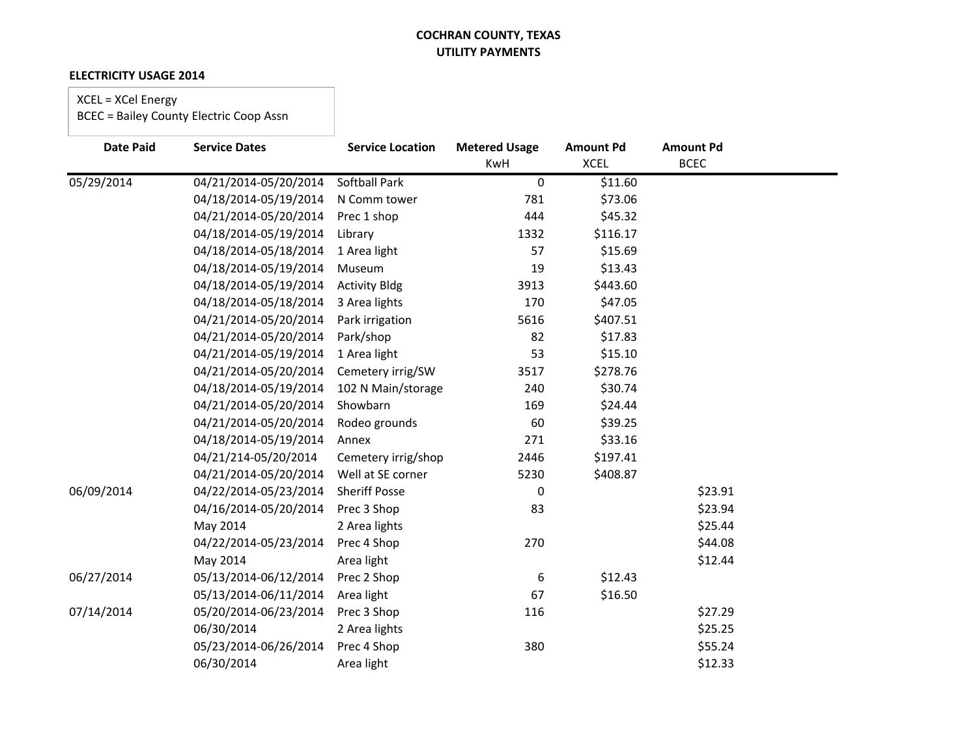#### **ELECTRICITY USAGE 2014**

# XCEL = XCel Energy

| <b>Date Paid</b> | <b>Service Dates</b>  | <b>Service Location</b> | <b>Metered Usage</b><br>KwH | <b>Amount Pd</b><br><b>XCEL</b> | <b>Amount Pd</b><br><b>BCEC</b> |  |
|------------------|-----------------------|-------------------------|-----------------------------|---------------------------------|---------------------------------|--|
| 05/29/2014       | 04/21/2014-05/20/2014 | <b>Softball Park</b>    | 0                           | \$11.60                         |                                 |  |
|                  | 04/18/2014-05/19/2014 | N Comm tower            | 781                         | \$73.06                         |                                 |  |
|                  | 04/21/2014-05/20/2014 | Prec 1 shop             | 444                         | \$45.32                         |                                 |  |
|                  | 04/18/2014-05/19/2014 | Library                 | 1332                        | \$116.17                        |                                 |  |
|                  | 04/18/2014-05/18/2014 | 1 Area light            | 57                          | \$15.69                         |                                 |  |
|                  | 04/18/2014-05/19/2014 | Museum                  | 19                          | \$13.43                         |                                 |  |
|                  | 04/18/2014-05/19/2014 | <b>Activity Bldg</b>    | 3913                        | \$443.60                        |                                 |  |
|                  | 04/18/2014-05/18/2014 | 3 Area lights           | 170                         | \$47.05                         |                                 |  |
|                  | 04/21/2014-05/20/2014 | Park irrigation         | 5616                        | \$407.51                        |                                 |  |
|                  | 04/21/2014-05/20/2014 | Park/shop               | 82                          | \$17.83                         |                                 |  |
|                  | 04/21/2014-05/19/2014 | 1 Area light            | 53                          | \$15.10                         |                                 |  |
|                  | 04/21/2014-05/20/2014 | Cemetery irrig/SW       | 3517                        | \$278.76                        |                                 |  |
|                  | 04/18/2014-05/19/2014 | 102 N Main/storage      | 240                         | \$30.74                         |                                 |  |
|                  | 04/21/2014-05/20/2014 | Showbarn                | 169                         | \$24.44                         |                                 |  |
|                  | 04/21/2014-05/20/2014 | Rodeo grounds           | 60                          | \$39.25                         |                                 |  |
|                  | 04/18/2014-05/19/2014 | Annex                   | 271                         | \$33.16                         |                                 |  |
|                  | 04/21/214-05/20/2014  | Cemetery irrig/shop     | 2446                        | \$197.41                        |                                 |  |
|                  | 04/21/2014-05/20/2014 | Well at SE corner       | 5230                        | \$408.87                        |                                 |  |
| 06/09/2014       | 04/22/2014-05/23/2014 | <b>Sheriff Posse</b>    | 0                           |                                 | \$23.91                         |  |
|                  | 04/16/2014-05/20/2014 | Prec 3 Shop             | 83                          |                                 | \$23.94                         |  |
|                  | May 2014              | 2 Area lights           |                             |                                 | \$25.44                         |  |
|                  | 04/22/2014-05/23/2014 | Prec 4 Shop             | 270                         |                                 | \$44.08                         |  |
|                  | May 2014              | Area light              |                             |                                 | \$12.44                         |  |
| 06/27/2014       | 05/13/2014-06/12/2014 | Prec 2 Shop             | 6                           | \$12.43                         |                                 |  |
|                  | 05/13/2014-06/11/2014 | Area light              | 67                          | \$16.50                         |                                 |  |
| 07/14/2014       | 05/20/2014-06/23/2014 | Prec 3 Shop             | 116                         |                                 | \$27.29                         |  |
|                  | 06/30/2014            | 2 Area lights           |                             |                                 | \$25.25                         |  |
|                  | 05/23/2014-06/26/2014 | Prec 4 Shop             | 380                         |                                 | \$55.24                         |  |
|                  | 06/30/2014            | Area light              |                             |                                 | \$12.33                         |  |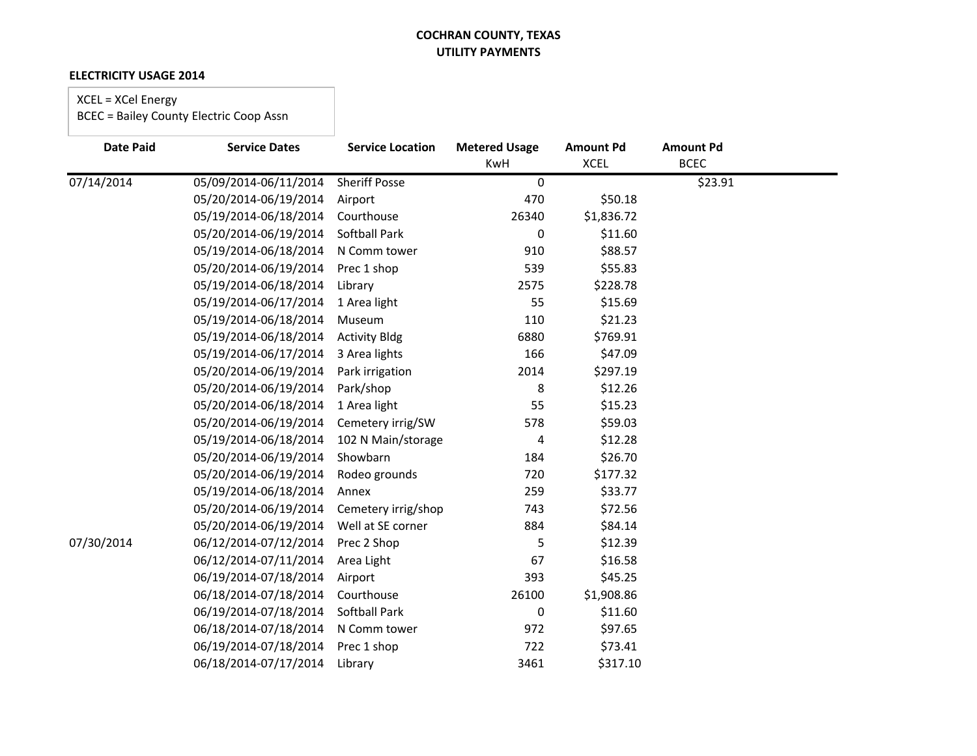#### **ELECTRICITY USAGE 2014**

# XCEL = XCel Energy

| <b>Date Paid</b> | <b>Service Dates</b>  | <b>Service Location</b> | <b>Metered Usage</b> | <b>Amount Pd</b> | <b>Amount Pd</b> |  |
|------------------|-----------------------|-------------------------|----------------------|------------------|------------------|--|
|                  |                       |                         | KwH                  | <b>XCEL</b>      | <b>BCEC</b>      |  |
| 07/14/2014       | 05/09/2014-06/11/2014 | <b>Sheriff Posse</b>    | 0                    |                  | \$23.91          |  |
|                  | 05/20/2014-06/19/2014 | Airport                 | 470                  | \$50.18          |                  |  |
|                  | 05/19/2014-06/18/2014 | Courthouse              | 26340                | \$1,836.72       |                  |  |
|                  | 05/20/2014-06/19/2014 | Softball Park           | 0                    | \$11.60          |                  |  |
|                  | 05/19/2014-06/18/2014 | N Comm tower            | 910                  | \$88.57          |                  |  |
|                  | 05/20/2014-06/19/2014 | Prec 1 shop             | 539                  | \$55.83          |                  |  |
|                  | 05/19/2014-06/18/2014 | Library                 | 2575                 | \$228.78         |                  |  |
|                  | 05/19/2014-06/17/2014 | 1 Area light            | 55                   | \$15.69          |                  |  |
|                  | 05/19/2014-06/18/2014 | Museum                  | 110                  | \$21.23          |                  |  |
|                  | 05/19/2014-06/18/2014 | <b>Activity Bldg</b>    | 6880                 | \$769.91         |                  |  |
|                  | 05/19/2014-06/17/2014 | 3 Area lights           | 166                  | \$47.09          |                  |  |
|                  | 05/20/2014-06/19/2014 | Park irrigation         | 2014                 | \$297.19         |                  |  |
|                  | 05/20/2014-06/19/2014 | Park/shop               | 8                    | \$12.26          |                  |  |
|                  | 05/20/2014-06/18/2014 | 1 Area light            | 55                   | \$15.23          |                  |  |
|                  | 05/20/2014-06/19/2014 | Cemetery irrig/SW       | 578                  | \$59.03          |                  |  |
|                  | 05/19/2014-06/18/2014 | 102 N Main/storage      | 4                    | \$12.28          |                  |  |
|                  | 05/20/2014-06/19/2014 | Showbarn                | 184                  | \$26.70          |                  |  |
|                  | 05/20/2014-06/19/2014 | Rodeo grounds           | 720                  | \$177.32         |                  |  |
|                  | 05/19/2014-06/18/2014 | Annex                   | 259                  | \$33.77          |                  |  |
|                  | 05/20/2014-06/19/2014 | Cemetery irrig/shop     | 743                  | \$72.56          |                  |  |
|                  | 05/20/2014-06/19/2014 | Well at SE corner       | 884                  | \$84.14          |                  |  |
| 07/30/2014       | 06/12/2014-07/12/2014 | Prec 2 Shop             | 5                    | \$12.39          |                  |  |
|                  | 06/12/2014-07/11/2014 | Area Light              | 67                   | \$16.58          |                  |  |
|                  | 06/19/2014-07/18/2014 | Airport                 | 393                  | \$45.25          |                  |  |
|                  | 06/18/2014-07/18/2014 | Courthouse              | 26100                | \$1,908.86       |                  |  |
|                  | 06/19/2014-07/18/2014 | Softball Park           | 0                    | \$11.60          |                  |  |
|                  | 06/18/2014-07/18/2014 | N Comm tower            | 972                  | \$97.65          |                  |  |
|                  | 06/19/2014-07/18/2014 | Prec 1 shop             | 722                  | \$73.41          |                  |  |
|                  | 06/18/2014-07/17/2014 | Library                 | 3461                 | \$317.10         |                  |  |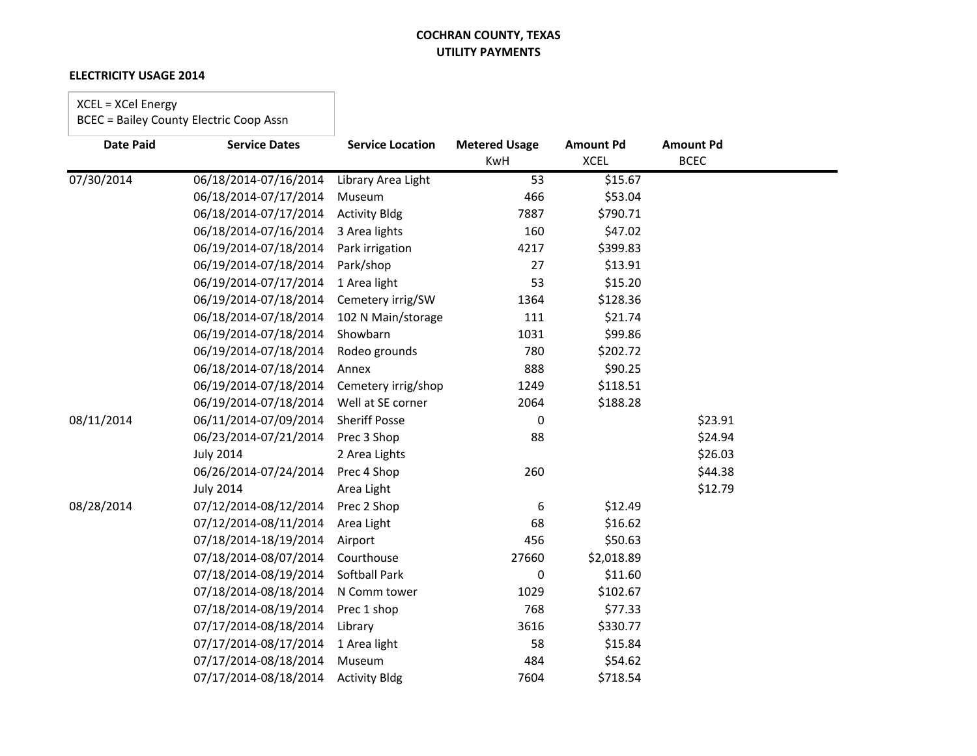#### **ELECTRICITY USAGE 2014**

# XCEL = XCel Energy

| <b>Date Paid</b> | <b>Service Dates</b>  | <b>Service Location</b> | <b>Metered Usage</b> | <b>Amount Pd</b> | <b>Amount Pd</b> |  |
|------------------|-----------------------|-------------------------|----------------------|------------------|------------------|--|
|                  |                       |                         | <b>KwH</b>           | <b>XCEL</b>      | <b>BCEC</b>      |  |
| 07/30/2014       | 06/18/2014-07/16/2014 | Library Area Light      | 53                   | \$15.67          |                  |  |
|                  | 06/18/2014-07/17/2014 | Museum                  | 466                  | \$53.04          |                  |  |
|                  | 06/18/2014-07/17/2014 | <b>Activity Bldg</b>    | 7887                 | \$790.71         |                  |  |
|                  | 06/18/2014-07/16/2014 | 3 Area lights           | 160                  | \$47.02          |                  |  |
|                  | 06/19/2014-07/18/2014 | Park irrigation         | 4217                 | \$399.83         |                  |  |
|                  | 06/19/2014-07/18/2014 | Park/shop               | 27                   | \$13.91          |                  |  |
|                  | 06/19/2014-07/17/2014 | 1 Area light            | 53                   | \$15.20          |                  |  |
|                  | 06/19/2014-07/18/2014 | Cemetery irrig/SW       | 1364                 | \$128.36         |                  |  |
|                  | 06/18/2014-07/18/2014 | 102 N Main/storage      | 111                  | \$21.74          |                  |  |
|                  | 06/19/2014-07/18/2014 | Showbarn                | 1031                 | \$99.86          |                  |  |
|                  | 06/19/2014-07/18/2014 | Rodeo grounds           | 780                  | \$202.72         |                  |  |
|                  | 06/18/2014-07/18/2014 | Annex                   | 888                  | \$90.25          |                  |  |
|                  | 06/19/2014-07/18/2014 | Cemetery irrig/shop     | 1249                 | \$118.51         |                  |  |
|                  | 06/19/2014-07/18/2014 | Well at SE corner       | 2064                 | \$188.28         |                  |  |
| 08/11/2014       | 06/11/2014-07/09/2014 | <b>Sheriff Posse</b>    | $\Omega$             |                  | \$23.91          |  |
|                  | 06/23/2014-07/21/2014 | Prec 3 Shop             | 88                   |                  | \$24.94          |  |
|                  | <b>July 2014</b>      | 2 Area Lights           |                      |                  | \$26.03          |  |
|                  | 06/26/2014-07/24/2014 | Prec 4 Shop             | 260                  |                  | \$44.38          |  |
|                  | <b>July 2014</b>      | Area Light              |                      |                  | \$12.79          |  |
| 08/28/2014       | 07/12/2014-08/12/2014 | Prec 2 Shop             | 6                    | \$12.49          |                  |  |
|                  | 07/12/2014-08/11/2014 | Area Light              | 68                   | \$16.62          |                  |  |
|                  | 07/18/2014-18/19/2014 | Airport                 | 456                  | \$50.63          |                  |  |
|                  | 07/18/2014-08/07/2014 | Courthouse              | 27660                | \$2,018.89       |                  |  |
|                  | 07/18/2014-08/19/2014 | Softball Park           | 0                    | \$11.60          |                  |  |
|                  | 07/18/2014-08/18/2014 | N Comm tower            | 1029                 | \$102.67         |                  |  |
|                  | 07/18/2014-08/19/2014 | Prec 1 shop             | 768                  | \$77.33          |                  |  |
|                  | 07/17/2014-08/18/2014 | Library                 | 3616                 | \$330.77         |                  |  |
|                  | 07/17/2014-08/17/2014 | 1 Area light            | 58                   | \$15.84          |                  |  |
|                  | 07/17/2014-08/18/2014 | Museum                  | 484                  | \$54.62          |                  |  |
|                  | 07/17/2014-08/18/2014 | <b>Activity Bldg</b>    | 7604                 | \$718.54         |                  |  |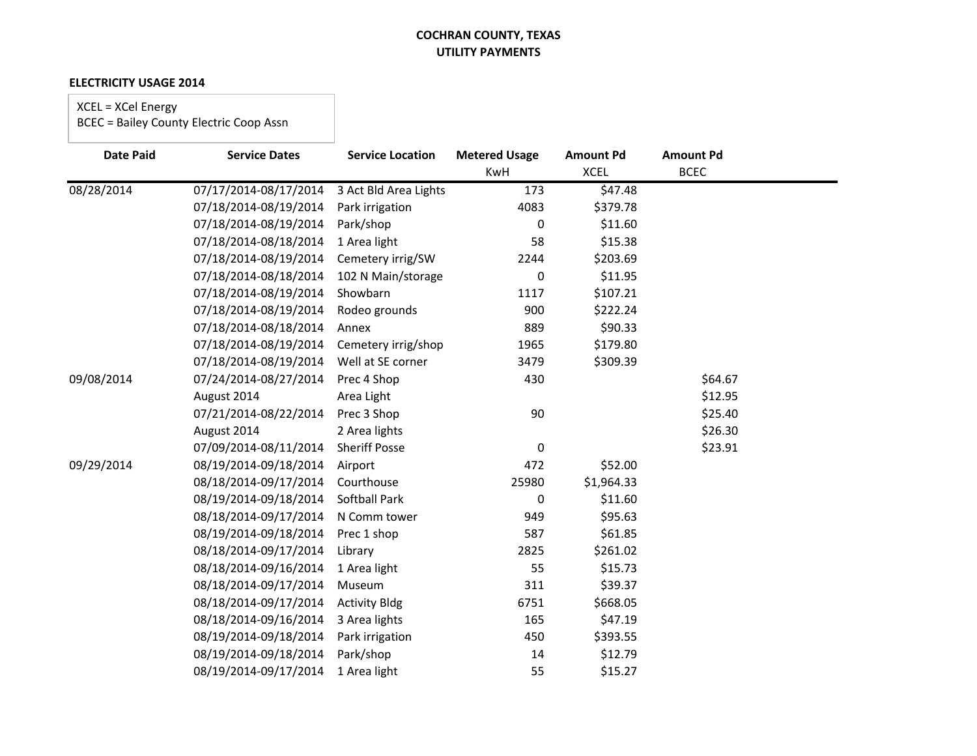#### **ELECTRICITY USAGE 2014**

XCEL = XCel Energy

| <b>Date Paid</b> | <b>Service Dates</b>  | <b>Service Location</b> | <b>Metered Usage</b> | <b>Amount Pd</b> | <b>Amount Pd</b> |  |
|------------------|-----------------------|-------------------------|----------------------|------------------|------------------|--|
|                  |                       |                         | <b>KwH</b>           | <b>XCEL</b>      | <b>BCEC</b>      |  |
| 08/28/2014       | 07/17/2014-08/17/2014 | 3 Act Bld Area Lights   | 173                  | \$47.48          |                  |  |
|                  | 07/18/2014-08/19/2014 | Park irrigation         | 4083                 | \$379.78         |                  |  |
|                  | 07/18/2014-08/19/2014 | Park/shop               | 0                    | \$11.60          |                  |  |
|                  | 07/18/2014-08/18/2014 | 1 Area light            | 58                   | \$15.38          |                  |  |
|                  | 07/18/2014-08/19/2014 | Cemetery irrig/SW       | 2244                 | \$203.69         |                  |  |
|                  | 07/18/2014-08/18/2014 | 102 N Main/storage      | 0                    | \$11.95          |                  |  |
|                  | 07/18/2014-08/19/2014 | Showbarn                | 1117                 | \$107.21         |                  |  |
|                  | 07/18/2014-08/19/2014 | Rodeo grounds           | 900                  | \$222.24         |                  |  |
|                  | 07/18/2014-08/18/2014 | Annex                   | 889                  | \$90.33          |                  |  |
|                  | 07/18/2014-08/19/2014 | Cemetery irrig/shop     | 1965                 | \$179.80         |                  |  |
|                  | 07/18/2014-08/19/2014 | Well at SE corner       | 3479                 | \$309.39         |                  |  |
| 09/08/2014       | 07/24/2014-08/27/2014 | Prec 4 Shop             | 430                  |                  | \$64.67          |  |
|                  | August 2014           | Area Light              |                      |                  | \$12.95          |  |
|                  | 07/21/2014-08/22/2014 | Prec 3 Shop             | 90                   |                  | \$25.40          |  |
|                  | August 2014           | 2 Area lights           |                      |                  | \$26.30          |  |
|                  | 07/09/2014-08/11/2014 | <b>Sheriff Posse</b>    | 0                    |                  | \$23.91          |  |
| 09/29/2014       | 08/19/2014-09/18/2014 | Airport                 | 472                  | \$52.00          |                  |  |
|                  | 08/18/2014-09/17/2014 | Courthouse              | 25980                | \$1,964.33       |                  |  |
|                  | 08/19/2014-09/18/2014 | <b>Softball Park</b>    | 0                    | \$11.60          |                  |  |
|                  | 08/18/2014-09/17/2014 | N Comm tower            | 949                  | \$95.63          |                  |  |
|                  | 08/19/2014-09/18/2014 | Prec 1 shop             | 587                  | \$61.85          |                  |  |
|                  | 08/18/2014-09/17/2014 | Library                 | 2825                 | \$261.02         |                  |  |
|                  | 08/18/2014-09/16/2014 | 1 Area light            | 55                   | \$15.73          |                  |  |
|                  | 08/18/2014-09/17/2014 | Museum                  | 311                  | \$39.37          |                  |  |
|                  | 08/18/2014-09/17/2014 | <b>Activity Bldg</b>    | 6751                 | \$668.05         |                  |  |
|                  | 08/18/2014-09/16/2014 | 3 Area lights           | 165                  | \$47.19          |                  |  |
|                  | 08/19/2014-09/18/2014 | Park irrigation         | 450                  | \$393.55         |                  |  |
|                  | 08/19/2014-09/18/2014 | Park/shop               | 14                   | \$12.79          |                  |  |
|                  | 08/19/2014-09/17/2014 | 1 Area light            | 55                   | \$15.27          |                  |  |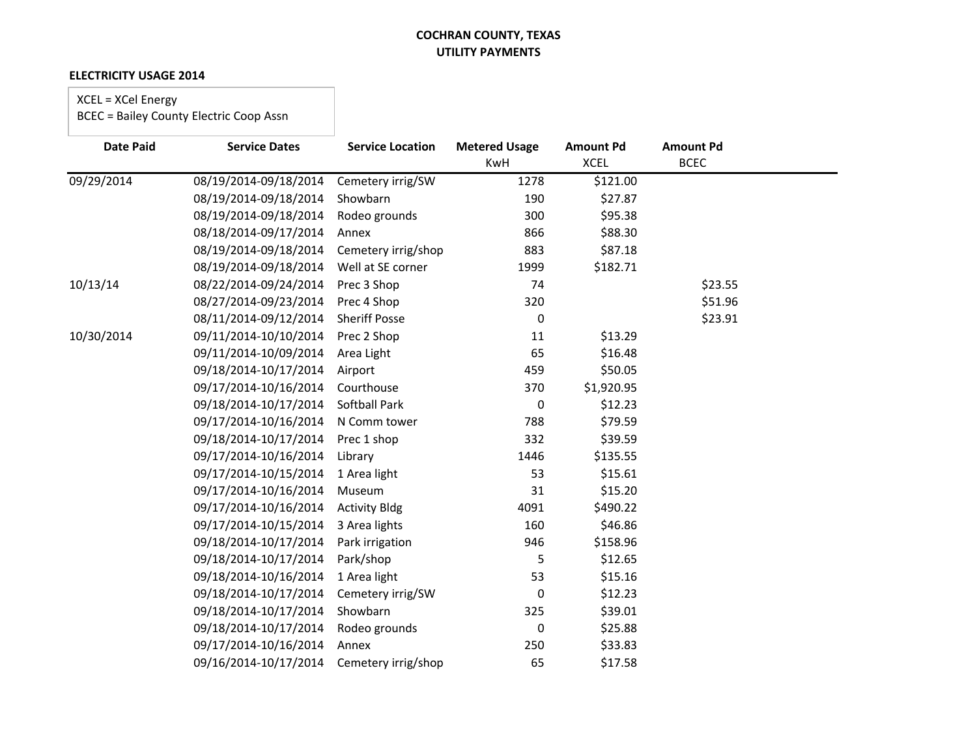#### **ELECTRICITY USAGE 2014**

# XCEL = XCel Energy

| <b>Date Paid</b> | <b>Service Dates</b>  | <b>Service Location</b> | <b>Metered Usage</b><br><b>KwH</b> | <b>Amount Pd</b><br><b>XCEL</b> | <b>Amount Pd</b><br><b>BCEC</b> |  |
|------------------|-----------------------|-------------------------|------------------------------------|---------------------------------|---------------------------------|--|
|                  |                       |                         |                                    |                                 |                                 |  |
| 09/29/2014       | 08/19/2014-09/18/2014 | Cemetery irrig/SW       | 1278                               | \$121.00                        |                                 |  |
|                  | 08/19/2014-09/18/2014 | Showbarn                | 190                                | \$27.87                         |                                 |  |
|                  | 08/19/2014-09/18/2014 | Rodeo grounds           | 300                                | \$95.38                         |                                 |  |
|                  | 08/18/2014-09/17/2014 | Annex                   | 866                                | \$88.30                         |                                 |  |
|                  | 08/19/2014-09/18/2014 | Cemetery irrig/shop     | 883                                | \$87.18                         |                                 |  |
|                  | 08/19/2014-09/18/2014 | Well at SE corner       | 1999                               | \$182.71                        |                                 |  |
| 10/13/14         | 08/22/2014-09/24/2014 | Prec 3 Shop             | 74                                 |                                 | \$23.55                         |  |
|                  | 08/27/2014-09/23/2014 | Prec 4 Shop             | 320                                |                                 | \$51.96                         |  |
|                  | 08/11/2014-09/12/2014 | <b>Sheriff Posse</b>    | 0                                  |                                 | \$23.91                         |  |
| 10/30/2014       | 09/11/2014-10/10/2014 | Prec 2 Shop             | 11                                 | \$13.29                         |                                 |  |
|                  | 09/11/2014-10/09/2014 | Area Light              | 65                                 | \$16.48                         |                                 |  |
|                  | 09/18/2014-10/17/2014 | Airport                 | 459                                | \$50.05                         |                                 |  |
|                  | 09/17/2014-10/16/2014 | Courthouse              | 370                                | \$1,920.95                      |                                 |  |
|                  | 09/18/2014-10/17/2014 | Softball Park           | 0                                  | \$12.23                         |                                 |  |
|                  | 09/17/2014-10/16/2014 | N Comm tower            | 788                                | \$79.59                         |                                 |  |
|                  | 09/18/2014-10/17/2014 | Prec 1 shop             | 332                                | \$39.59                         |                                 |  |
|                  | 09/17/2014-10/16/2014 | Library                 | 1446                               | \$135.55                        |                                 |  |
|                  | 09/17/2014-10/15/2014 | 1 Area light            | 53                                 | \$15.61                         |                                 |  |
|                  | 09/17/2014-10/16/2014 | Museum                  | 31                                 | \$15.20                         |                                 |  |
|                  | 09/17/2014-10/16/2014 | <b>Activity Bldg</b>    | 4091                               | \$490.22                        |                                 |  |
|                  | 09/17/2014-10/15/2014 | 3 Area lights           | 160                                | \$46.86                         |                                 |  |
|                  | 09/18/2014-10/17/2014 | Park irrigation         | 946                                | \$158.96                        |                                 |  |
|                  | 09/18/2014-10/17/2014 | Park/shop               | 5                                  | \$12.65                         |                                 |  |
|                  | 09/18/2014-10/16/2014 | 1 Area light            | 53                                 | \$15.16                         |                                 |  |
|                  | 09/18/2014-10/17/2014 | Cemetery irrig/SW       | 0                                  | \$12.23                         |                                 |  |
|                  | 09/18/2014-10/17/2014 | Showbarn                | 325                                | \$39.01                         |                                 |  |
|                  | 09/18/2014-10/17/2014 | Rodeo grounds           | 0                                  | \$25.88                         |                                 |  |
|                  | 09/17/2014-10/16/2014 | Annex                   | 250                                | \$33.83                         |                                 |  |
|                  | 09/16/2014-10/17/2014 | Cemetery irrig/shop     | 65                                 | \$17.58                         |                                 |  |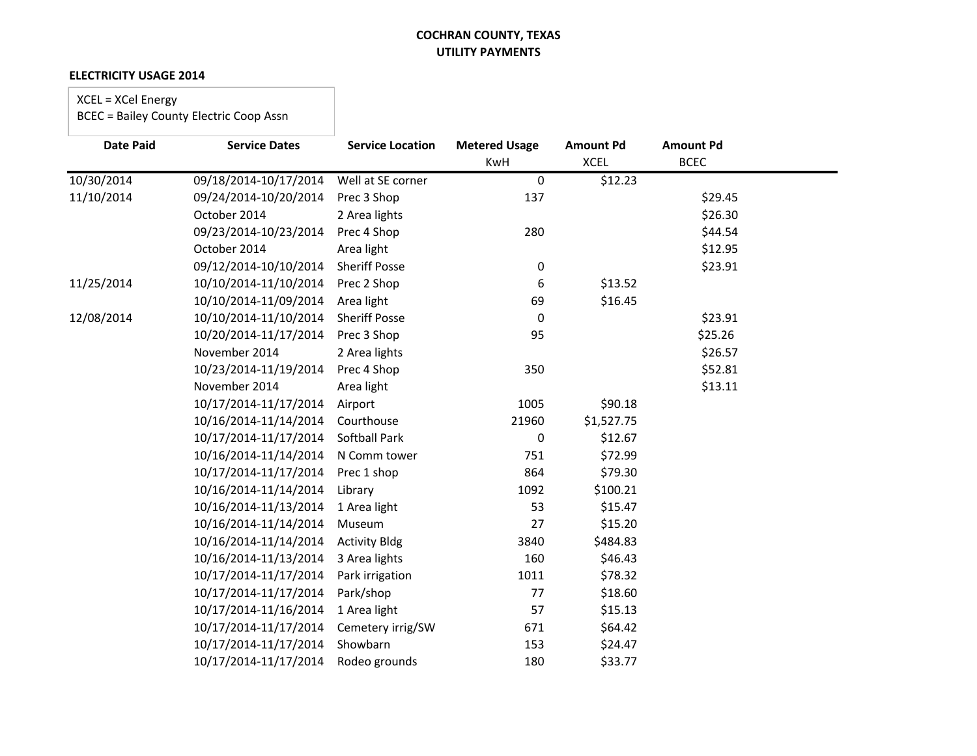#### **ELECTRICITY USAGE 2014**

# XCEL = XCel Energy

| <b>Date Paid</b> | <b>Service Dates</b>  | <b>Service Location</b> | <b>Metered Usage</b><br>KwH | <b>Amount Pd</b><br><b>XCEL</b> | <b>Amount Pd</b><br><b>BCEC</b> |  |
|------------------|-----------------------|-------------------------|-----------------------------|---------------------------------|---------------------------------|--|
| 10/30/2014       | 09/18/2014-10/17/2014 | Well at SE corner       | 0                           | \$12.23                         |                                 |  |
| 11/10/2014       | 09/24/2014-10/20/2014 | Prec 3 Shop             | 137                         |                                 | \$29.45                         |  |
|                  | October 2014          | 2 Area lights           |                             |                                 | \$26.30                         |  |
|                  | 09/23/2014-10/23/2014 | Prec 4 Shop             | 280                         |                                 | \$44.54                         |  |
|                  | October 2014          | Area light              |                             |                                 | \$12.95                         |  |
|                  |                       | <b>Sheriff Posse</b>    |                             |                                 |                                 |  |
|                  | 09/12/2014-10/10/2014 |                         | 0                           |                                 | \$23.91                         |  |
| 11/25/2014       | 10/10/2014-11/10/2014 | Prec 2 Shop             | 6                           | \$13.52                         |                                 |  |
|                  | 10/10/2014-11/09/2014 | Area light              | 69                          | \$16.45                         |                                 |  |
| 12/08/2014       | 10/10/2014-11/10/2014 | <b>Sheriff Posse</b>    | 0                           |                                 | \$23.91                         |  |
|                  | 10/20/2014-11/17/2014 | Prec 3 Shop             | 95                          |                                 | \$25.26                         |  |
|                  | November 2014         | 2 Area lights           |                             |                                 | \$26.57                         |  |
|                  | 10/23/2014-11/19/2014 | Prec 4 Shop             | 350                         |                                 | \$52.81                         |  |
|                  | November 2014         | Area light              |                             |                                 | \$13.11                         |  |
|                  | 10/17/2014-11/17/2014 | Airport                 | 1005                        | \$90.18                         |                                 |  |
|                  | 10/16/2014-11/14/2014 | Courthouse              | 21960                       | \$1,527.75                      |                                 |  |
|                  | 10/17/2014-11/17/2014 | <b>Softball Park</b>    | 0                           | \$12.67                         |                                 |  |
|                  | 10/16/2014-11/14/2014 | N Comm tower            | 751                         | \$72.99                         |                                 |  |
|                  | 10/17/2014-11/17/2014 | Prec 1 shop             | 864                         | \$79.30                         |                                 |  |
|                  | 10/16/2014-11/14/2014 | Library                 | 1092                        | \$100.21                        |                                 |  |
|                  | 10/16/2014-11/13/2014 | 1 Area light            | 53                          | \$15.47                         |                                 |  |
|                  | 10/16/2014-11/14/2014 | Museum                  | 27                          | \$15.20                         |                                 |  |
|                  | 10/16/2014-11/14/2014 | <b>Activity Bldg</b>    | 3840                        | \$484.83                        |                                 |  |
|                  | 10/16/2014-11/13/2014 | 3 Area lights           | 160                         | \$46.43                         |                                 |  |
|                  | 10/17/2014-11/17/2014 | Park irrigation         | 1011                        | \$78.32                         |                                 |  |
|                  | 10/17/2014-11/17/2014 | Park/shop               | 77                          | \$18.60                         |                                 |  |
|                  | 10/17/2014-11/16/2014 | 1 Area light            | 57                          | \$15.13                         |                                 |  |
|                  | 10/17/2014-11/17/2014 | Cemetery irrig/SW       | 671                         | \$64.42                         |                                 |  |
|                  | 10/17/2014-11/17/2014 | Showbarn                | 153                         | \$24.47                         |                                 |  |
|                  | 10/17/2014-11/17/2014 | Rodeo grounds           | 180                         | \$33.77                         |                                 |  |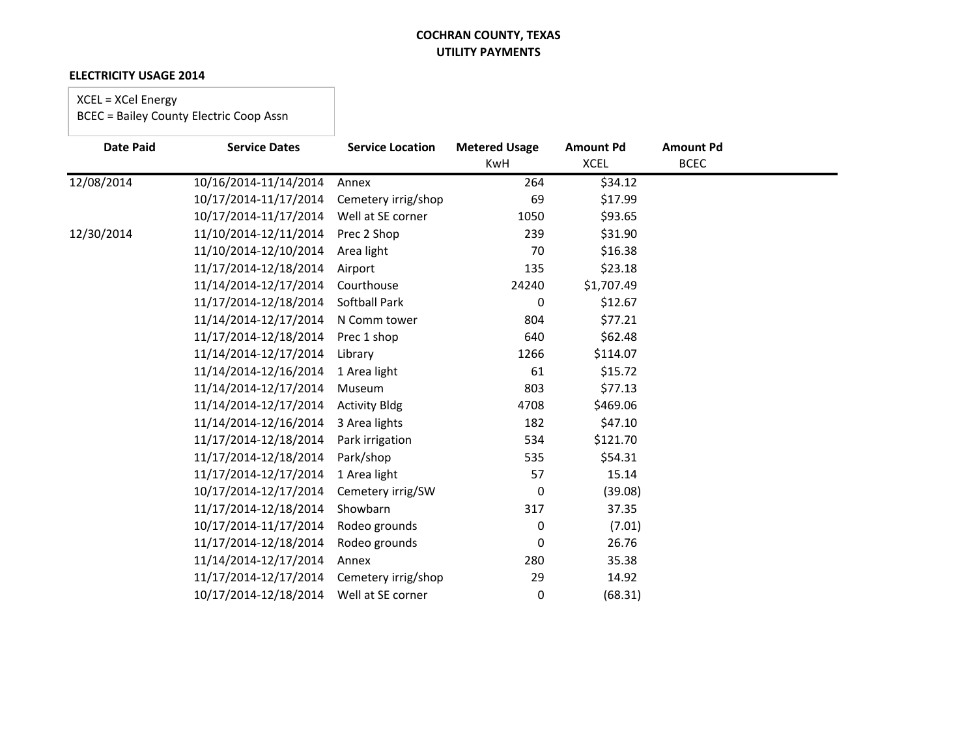#### **ELECTRICITY USAGE 2014**

# XCEL = XCel Energy

| <b>Date Paid</b> | <b>Service Dates</b>  | <b>Service Location</b> | <b>Metered Usage</b> | <b>Amount Pd</b> | <b>Amount Pd</b><br><b>BCEC</b> |  |
|------------------|-----------------------|-------------------------|----------------------|------------------|---------------------------------|--|
|                  |                       |                         | <b>KwH</b>           | <b>XCEL</b>      |                                 |  |
| 12/08/2014       | 10/16/2014-11/14/2014 | Annex                   | 264                  | \$34.12          |                                 |  |
|                  | 10/17/2014-11/17/2014 | Cemetery irrig/shop     | 69                   | \$17.99          |                                 |  |
|                  | 10/17/2014-11/17/2014 | Well at SE corner       | 1050                 | \$93.65          |                                 |  |
| 12/30/2014       | 11/10/2014-12/11/2014 | Prec 2 Shop             | 239                  | \$31.90          |                                 |  |
|                  | 11/10/2014-12/10/2014 | Area light              | 70                   | \$16.38          |                                 |  |
|                  | 11/17/2014-12/18/2014 | Airport                 | 135                  | \$23.18          |                                 |  |
|                  | 11/14/2014-12/17/2014 | Courthouse              | 24240                | \$1,707.49       |                                 |  |
|                  | 11/17/2014-12/18/2014 | Softball Park           | 0                    | \$12.67          |                                 |  |
|                  | 11/14/2014-12/17/2014 | N Comm tower            | 804                  | \$77.21          |                                 |  |
|                  | 11/17/2014-12/18/2014 | Prec 1 shop             | 640                  | \$62.48          |                                 |  |
|                  | 11/14/2014-12/17/2014 | Library                 | 1266                 | \$114.07         |                                 |  |
|                  | 11/14/2014-12/16/2014 | 1 Area light            | 61                   | \$15.72          |                                 |  |
|                  | 11/14/2014-12/17/2014 | Museum                  | 803                  | \$77.13          |                                 |  |
|                  | 11/14/2014-12/17/2014 | <b>Activity Bldg</b>    | 4708                 | \$469.06         |                                 |  |
|                  | 11/14/2014-12/16/2014 | 3 Area lights           | 182                  | \$47.10          |                                 |  |
|                  | 11/17/2014-12/18/2014 | Park irrigation         | 534                  | \$121.70         |                                 |  |
|                  | 11/17/2014-12/18/2014 | Park/shop               | 535                  | \$54.31          |                                 |  |
|                  | 11/17/2014-12/17/2014 | 1 Area light            | 57                   | 15.14            |                                 |  |
|                  | 10/17/2014-12/17/2014 | Cemetery irrig/SW       | 0                    | (39.08)          |                                 |  |
|                  | 11/17/2014-12/18/2014 | Showbarn                | 317                  | 37.35            |                                 |  |
|                  | 10/17/2014-11/17/2014 | Rodeo grounds           | 0                    | (7.01)           |                                 |  |
|                  | 11/17/2014-12/18/2014 | Rodeo grounds           | 0                    | 26.76            |                                 |  |
|                  | 11/14/2014-12/17/2014 | Annex                   | 280                  | 35.38            |                                 |  |
|                  | 11/17/2014-12/17/2014 | Cemetery irrig/shop     | 29                   | 14.92            |                                 |  |
|                  | 10/17/2014-12/18/2014 | Well at SE corner       | 0                    | (68.31)          |                                 |  |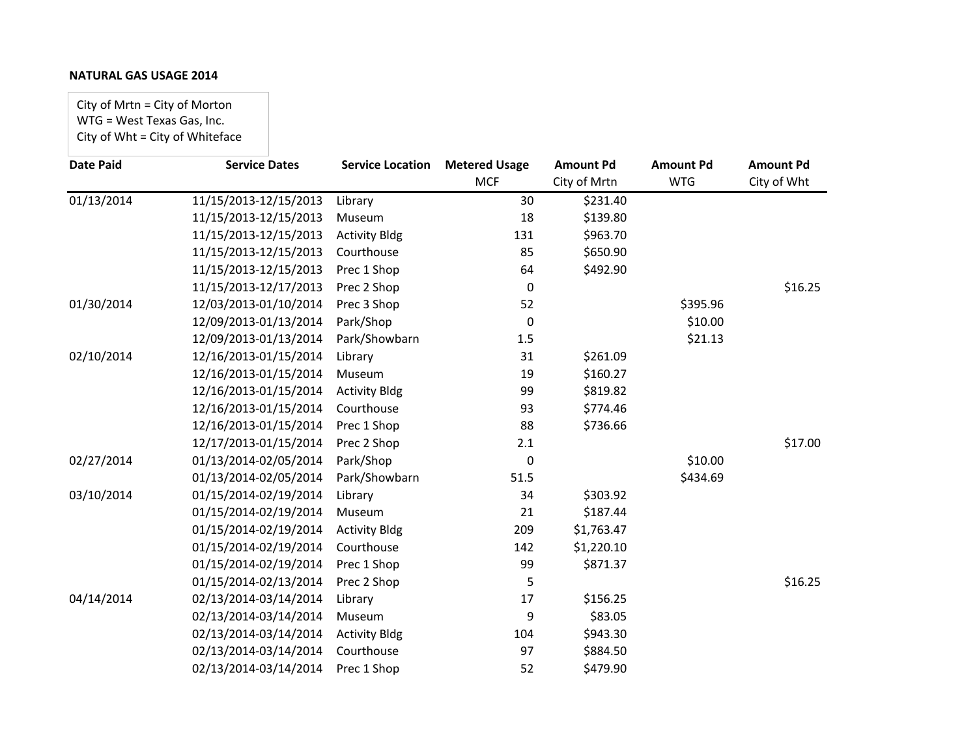City of Mrtn = City of Morton WTG = West Texas Gas, Inc. City of Wht = City of Whiteface

| <b>Date Paid</b>        | <b>Service Dates</b>  | <b>Service Location</b> | <b>Metered Usage</b> | <b>Amount Pd</b> | <b>Amount Pd</b> | <b>Amount Pd</b> |
|-------------------------|-----------------------|-------------------------|----------------------|------------------|------------------|------------------|
|                         |                       |                         | <b>MCF</b>           | City of Mrtn     | <b>WTG</b>       | City of Wht      |
| $\overline{01/13/2014}$ | 11/15/2013-12/15/2013 | Library                 | 30                   | \$231.40         |                  |                  |
|                         | 11/15/2013-12/15/2013 | Museum                  | 18                   | \$139.80         |                  |                  |
|                         | 11/15/2013-12/15/2013 | <b>Activity Bldg</b>    | 131                  | \$963.70         |                  |                  |
|                         | 11/15/2013-12/15/2013 | Courthouse              | 85                   | \$650.90         |                  |                  |
|                         | 11/15/2013-12/15/2013 | Prec 1 Shop             | 64                   | \$492.90         |                  |                  |
|                         | 11/15/2013-12/17/2013 | Prec 2 Shop             | 0                    |                  |                  | \$16.25          |
| 01/30/2014              | 12/03/2013-01/10/2014 | Prec 3 Shop             | 52                   |                  | \$395.96         |                  |
|                         | 12/09/2013-01/13/2014 | Park/Shop               | 0                    |                  | \$10.00          |                  |
|                         | 12/09/2013-01/13/2014 | Park/Showbarn           | 1.5                  |                  | \$21.13          |                  |
| 02/10/2014              | 12/16/2013-01/15/2014 | Library                 | 31                   | \$261.09         |                  |                  |
|                         | 12/16/2013-01/15/2014 | Museum                  | 19                   | \$160.27         |                  |                  |
|                         | 12/16/2013-01/15/2014 | <b>Activity Bldg</b>    | 99                   | \$819.82         |                  |                  |
|                         | 12/16/2013-01/15/2014 | Courthouse              | 93                   | \$774.46         |                  |                  |
|                         | 12/16/2013-01/15/2014 | Prec 1 Shop             | 88                   | \$736.66         |                  |                  |
|                         | 12/17/2013-01/15/2014 | Prec 2 Shop             | 2.1                  |                  |                  | \$17.00          |
| 02/27/2014              | 01/13/2014-02/05/2014 | Park/Shop               | 0                    |                  | \$10.00          |                  |
|                         | 01/13/2014-02/05/2014 | Park/Showbarn           | 51.5                 |                  | \$434.69         |                  |
| 03/10/2014              | 01/15/2014-02/19/2014 | Library                 | 34                   | \$303.92         |                  |                  |
|                         | 01/15/2014-02/19/2014 | Museum                  | 21                   | \$187.44         |                  |                  |
|                         | 01/15/2014-02/19/2014 | <b>Activity Bldg</b>    | 209                  | \$1,763.47       |                  |                  |
|                         | 01/15/2014-02/19/2014 | Courthouse              | 142                  | \$1,220.10       |                  |                  |
|                         | 01/15/2014-02/19/2014 | Prec 1 Shop             | 99                   | \$871.37         |                  |                  |
|                         | 01/15/2014-02/13/2014 | Prec 2 Shop             | 5                    |                  |                  | \$16.25          |
| 04/14/2014              | 02/13/2014-03/14/2014 | Library                 | 17                   | \$156.25         |                  |                  |
|                         | 02/13/2014-03/14/2014 | Museum                  | 9                    | \$83.05          |                  |                  |
|                         | 02/13/2014-03/14/2014 | <b>Activity Bldg</b>    | 104                  | \$943.30         |                  |                  |
|                         | 02/13/2014-03/14/2014 | Courthouse              | 97                   | \$884.50         |                  |                  |
|                         | 02/13/2014-03/14/2014 | Prec 1 Shop             | 52                   | \$479.90         |                  |                  |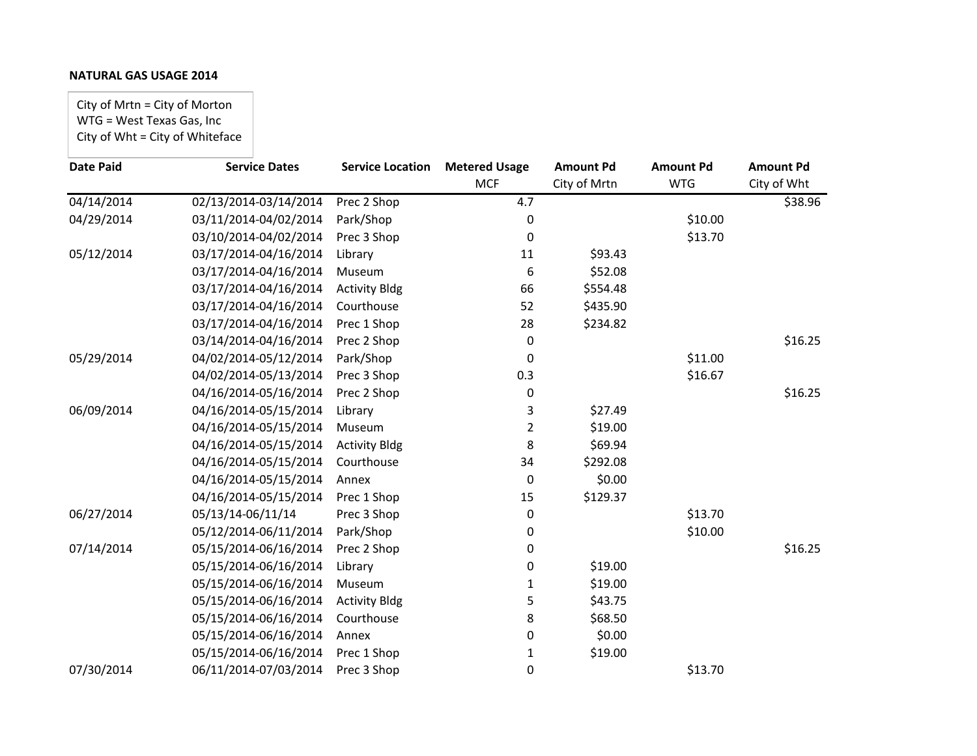City of Mrtn = City of Morton WTG = West Texas Gas, Inc City of Wht = City of Whiteface

| <b>Date Paid</b> | <b>Service Dates</b>  | <b>Service Location</b> | <b>Metered Usage</b> | <b>Amount Pd</b> | <b>Amount Pd</b> | <b>Amount Pd</b> |
|------------------|-----------------------|-------------------------|----------------------|------------------|------------------|------------------|
|                  |                       |                         | <b>MCF</b>           | City of Mrtn     | <b>WTG</b>       | City of Wht      |
| 04/14/2014       | 02/13/2014-03/14/2014 | Prec 2 Shop             | 4.7                  |                  |                  | \$38.96          |
| 04/29/2014       | 03/11/2014-04/02/2014 | Park/Shop               | 0                    |                  | \$10.00          |                  |
|                  | 03/10/2014-04/02/2014 | Prec 3 Shop             | 0                    |                  | \$13.70          |                  |
| 05/12/2014       | 03/17/2014-04/16/2014 | Library                 | 11                   | \$93.43          |                  |                  |
|                  | 03/17/2014-04/16/2014 | Museum                  | 6                    | \$52.08          |                  |                  |
|                  | 03/17/2014-04/16/2014 | <b>Activity Bldg</b>    | 66                   | \$554.48         |                  |                  |
|                  | 03/17/2014-04/16/2014 | Courthouse              | 52                   | \$435.90         |                  |                  |
|                  | 03/17/2014-04/16/2014 | Prec 1 Shop             | 28                   | \$234.82         |                  |                  |
|                  | 03/14/2014-04/16/2014 | Prec 2 Shop             | 0                    |                  |                  | \$16.25          |
| 05/29/2014       | 04/02/2014-05/12/2014 | Park/Shop               | 0                    |                  | \$11.00          |                  |
|                  | 04/02/2014-05/13/2014 | Prec 3 Shop             | 0.3                  |                  | \$16.67          |                  |
|                  | 04/16/2014-05/16/2014 | Prec 2 Shop             | 0                    |                  |                  | \$16.25          |
| 06/09/2014       | 04/16/2014-05/15/2014 | Library                 | 3                    | \$27.49          |                  |                  |
|                  | 04/16/2014-05/15/2014 | Museum                  | 2                    | \$19.00          |                  |                  |
|                  | 04/16/2014-05/15/2014 | <b>Activity Bldg</b>    | 8                    | \$69.94          |                  |                  |
|                  | 04/16/2014-05/15/2014 | Courthouse              | 34                   | \$292.08         |                  |                  |
|                  | 04/16/2014-05/15/2014 | Annex                   | 0                    | \$0.00           |                  |                  |
|                  | 04/16/2014-05/15/2014 | Prec 1 Shop             | 15                   | \$129.37         |                  |                  |
| 06/27/2014       | 05/13/14-06/11/14     | Prec 3 Shop             | 0                    |                  | \$13.70          |                  |
|                  | 05/12/2014-06/11/2014 | Park/Shop               | 0                    |                  | \$10.00          |                  |
| 07/14/2014       | 05/15/2014-06/16/2014 | Prec 2 Shop             | 0                    |                  |                  | \$16.25          |
|                  | 05/15/2014-06/16/2014 | Library                 | 0                    | \$19.00          |                  |                  |
|                  | 05/15/2014-06/16/2014 | Museum                  | 1                    | \$19.00          |                  |                  |
|                  | 05/15/2014-06/16/2014 | <b>Activity Bldg</b>    | 5                    | \$43.75          |                  |                  |
|                  | 05/15/2014-06/16/2014 | Courthouse              | 8                    | \$68.50          |                  |                  |
|                  | 05/15/2014-06/16/2014 | Annex                   | 0                    | \$0.00           |                  |                  |
|                  | 05/15/2014-06/16/2014 | Prec 1 Shop             | 1                    | \$19.00          |                  |                  |
| 07/30/2014       | 06/11/2014-07/03/2014 | Prec 3 Shop             | 0                    |                  | \$13.70          |                  |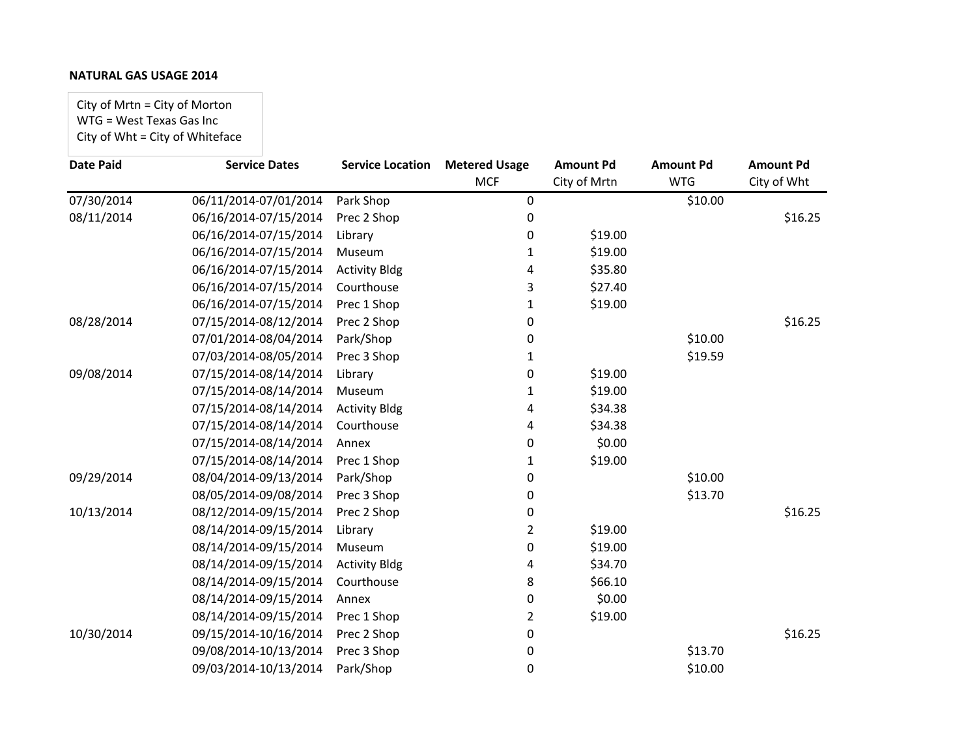City of Mrtn = City of Morton WTG = West Texas Gas Inc City of Wht = City of Whiteface

| <b>Date Paid</b> | <b>Service Dates</b>  | <b>Service Location</b> | <b>Metered Usage</b> | <b>Amount Pd</b> | <b>Amount Pd</b> | <b>Amount Pd</b> |
|------------------|-----------------------|-------------------------|----------------------|------------------|------------------|------------------|
|                  |                       |                         | <b>MCF</b>           | City of Mrtn     | <b>WTG</b>       | City of Wht      |
| 07/30/2014       | 06/11/2014-07/01/2014 | Park Shop               | 0                    |                  | \$10.00          |                  |
| 08/11/2014       | 06/16/2014-07/15/2014 | Prec 2 Shop             | 0                    |                  |                  | \$16.25          |
|                  | 06/16/2014-07/15/2014 | Library                 | 0                    | \$19.00          |                  |                  |
|                  | 06/16/2014-07/15/2014 | Museum                  | 1                    | \$19.00          |                  |                  |
|                  | 06/16/2014-07/15/2014 | <b>Activity Bldg</b>    | 4                    | \$35.80          |                  |                  |
|                  | 06/16/2014-07/15/2014 | Courthouse              | 3                    | \$27.40          |                  |                  |
|                  | 06/16/2014-07/15/2014 | Prec 1 Shop             | 1                    | \$19.00          |                  |                  |
| 08/28/2014       | 07/15/2014-08/12/2014 | Prec 2 Shop             | 0                    |                  |                  | \$16.25          |
|                  | 07/01/2014-08/04/2014 | Park/Shop               | 0                    |                  | \$10.00          |                  |
|                  | 07/03/2014-08/05/2014 | Prec 3 Shop             | 1                    |                  | \$19.59          |                  |
| 09/08/2014       | 07/15/2014-08/14/2014 | Library                 | 0                    | \$19.00          |                  |                  |
|                  | 07/15/2014-08/14/2014 | Museum                  | 1                    | \$19.00          |                  |                  |
|                  | 07/15/2014-08/14/2014 | <b>Activity Bldg</b>    | 4                    | \$34.38          |                  |                  |
|                  | 07/15/2014-08/14/2014 | Courthouse              | 4                    | \$34.38          |                  |                  |
|                  | 07/15/2014-08/14/2014 | Annex                   | 0                    | \$0.00           |                  |                  |
|                  | 07/15/2014-08/14/2014 | Prec 1 Shop             | 1                    | \$19.00          |                  |                  |
| 09/29/2014       | 08/04/2014-09/13/2014 | Park/Shop               | 0                    |                  | \$10.00          |                  |
|                  | 08/05/2014-09/08/2014 | Prec 3 Shop             | 0                    |                  | \$13.70          |                  |
| 10/13/2014       | 08/12/2014-09/15/2014 | Prec 2 Shop             | 0                    |                  |                  | \$16.25          |
|                  | 08/14/2014-09/15/2014 | Library                 | $\overline{2}$       | \$19.00          |                  |                  |
|                  | 08/14/2014-09/15/2014 | Museum                  | 0                    | \$19.00          |                  |                  |
|                  | 08/14/2014-09/15/2014 | <b>Activity Bldg</b>    | 4                    | \$34.70          |                  |                  |
|                  | 08/14/2014-09/15/2014 | Courthouse              | 8                    | \$66.10          |                  |                  |
|                  | 08/14/2014-09/15/2014 | Annex                   | 0                    | \$0.00           |                  |                  |
|                  | 08/14/2014-09/15/2014 | Prec 1 Shop             | 2                    | \$19.00          |                  |                  |
| 10/30/2014       | 09/15/2014-10/16/2014 | Prec 2 Shop             | 0                    |                  |                  | \$16.25          |
|                  | 09/08/2014-10/13/2014 | Prec 3 Shop             | 0                    |                  | \$13.70          |                  |
|                  | 09/03/2014-10/13/2014 | Park/Shop               | 0                    |                  | \$10.00          |                  |